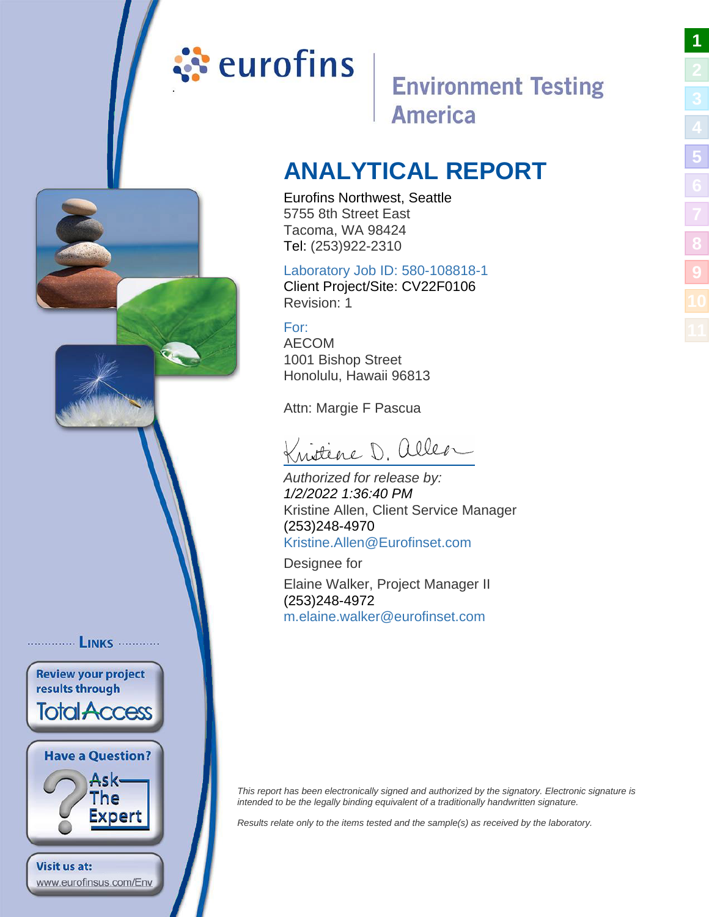# <span id="page-0-1"></span><span id="page-0-0"></span><mark>ं</mark> eurofins

............... LINKS ............

**Review your project** results through

**Total Access** 

**Have a Question?** 

www.eurofinsus.com/Env

Visit us at:

Ask-The Expert

## **Environment Testing America**

**[1](#page-0-0)**

**[5](#page-5-0)**

**[8](#page-14-0)**

**[9](#page-15-0)**

## **ANALYTICAL REPORT**

Eurofins Northwest, Seattle 5755 8th Street East Tacoma, WA 98424 Tel: (253)922-2310

#### Laboratory Job ID: 580-108818-1

Client Project/Site: CV22F0106 Revision: 1

For: AECOM 1001 Bishop Street Honolulu, Hawaii 96813

Attn: Margie F Pascua

Kristène D. aller

Authorized for release by: 1/2/2022 1:36:40 PM Kristine Allen, Client Service Manager (253)248-4970 [Kristine.Allen@Eurofinset.c](mailto:Kristine.Allen@Eurofinset.com)om

Designee for Elaine Walker, Project Manager II (253)248-4972 [m.elaine.walker@eurofinset](mailto:m.elaine.walker@eurofinset.com).com

This report has been electronically signed and authorized by the signatory. Electronic signature is intended to be the legally binding equivalent of a traditionally handwritten signature.

Results relate only to the items tested and the sample(s) as received by the laboratory.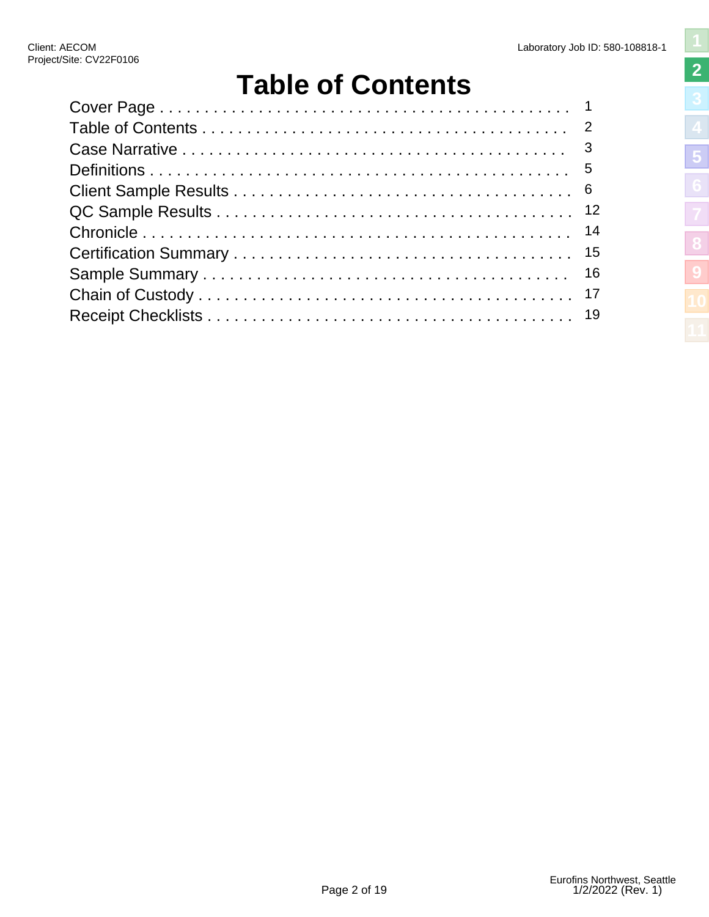**[2](#page-1-0)**

**[5](#page-5-0)**

**[8](#page-14-0)**

**[9](#page-15-0)**

# **Table of Contents**

<span id="page-1-1"></span><span id="page-1-0"></span>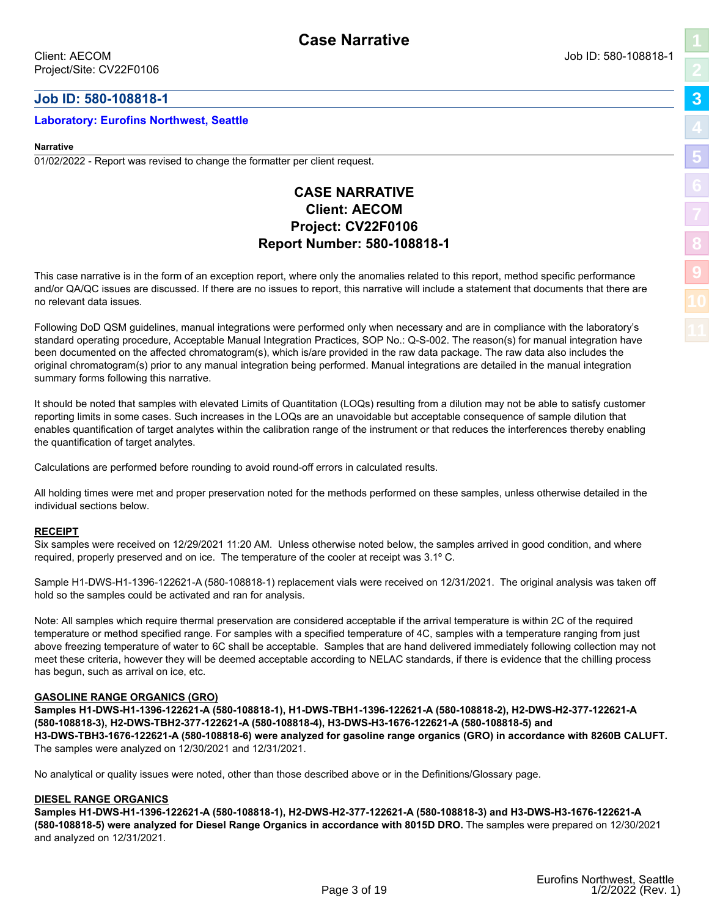#### <span id="page-2-1"></span><span id="page-2-0"></span>**Job ID: 580-108818-1**

#### **Laboratory: Eurofins Northwest, Seattle**

#### **Narrative**

01/02/2022 - Report was revised to change the formatter per client request.

#### **CASE NARRATIVE Client: AECOM Project: CV22F0106 Report Number: 580-108818-1**

This case narrative is in the form of an exception report, where only the anomalies related to this report, method specific performance and/or QA/QC issues are discussed. If there are no issues to report, this narrative will include a statement that documents that there are no relevant data issues.

Following DoD QSM guidelines, manual integrations were performed only when necessary and are in compliance with the laboratory's standard operating procedure, Acceptable Manual Integration Practices, SOP No.: Q-S-002. The reason(s) for manual integration have been documented on the affected chromatogram(s), which is/are provided in the raw data package. The raw data also includes the original chromatogram(s) prior to any manual integration being performed. Manual integrations are detailed in the manual integration summary forms following this narrative.

It should be noted that samples with elevated Limits of Quantitation (LOQs) resulting from a dilution may not be able to satisfy customer reporting limits in some cases. Such increases in the LOQs are an unavoidable but acceptable consequence of sample dilution that enables quantification of target analytes within the calibration range of the instrument or that reduces the interferences thereby enabling the quantification of target analytes.

Calculations are performed before rounding to avoid round-off errors in calculated results.

All holding times were met and proper preservation noted for the methods performed on these samples, unless otherwise detailed in the individual sections below.

#### **RECEIPT**

Six samples were received on 12/29/2021 11:20 AM. Unless otherwise noted below, the samples arrived in good condition, and where required, properly preserved and on ice. The temperature of the cooler at receipt was 3.1º C.

Sample H1-DWS-H1-1396-122621-A (580-108818-1) replacement vials were received on 12/31/2021. The original analysis was taken off hold so the samples could be activated and ran for analysis.

Note: All samples which require thermal preservation are considered acceptable if the arrival temperature is within 2C of the required temperature or method specified range. For samples with a specified temperature of 4C, samples with a temperature ranging from just above freezing temperature of water to 6C shall be acceptable. Samples that are hand delivered immediately following collection may not meet these criteria, however they will be deemed acceptable according to NELAC standards, if there is evidence that the chilling process has begun, such as arrival on ice, etc.

#### **GASOLINE RANGE ORGANICS (GRO)**

**Samples H1-DWS-H1-1396-122621-A (580-108818-1), H1-DWS-TBH1-1396-122621-A (580-108818-2), H2-DWS-H2-377-122621-A (580-108818-3), H2-DWS-TBH2-377-122621-A (580-108818-4), H3-DWS-H3-1676-122621-A (580-108818-5) and H3-DWS-TBH3-1676-122621-A (580-108818-6) were analyzed for gasoline range organics (GRO) in accordance with 8260B CALUFT.**  The samples were analyzed on 12/30/2021 and 12/31/2021.

No analytical or quality issues were noted, other than those described above or in the Definitions/Glossary page.

#### **DIESEL RANGE ORGANICS**

**Samples H1-DWS-H1-1396-122621-A (580-108818-1), H2-DWS-H2-377-122621-A (580-108818-3) and H3-DWS-H3-1676-122621-A (580-108818-5) were analyzed for Diesel Range Organics in accordance with 8015D DRO.** The samples were prepared on 12/30/2021 and analyzed on 12/31/2021.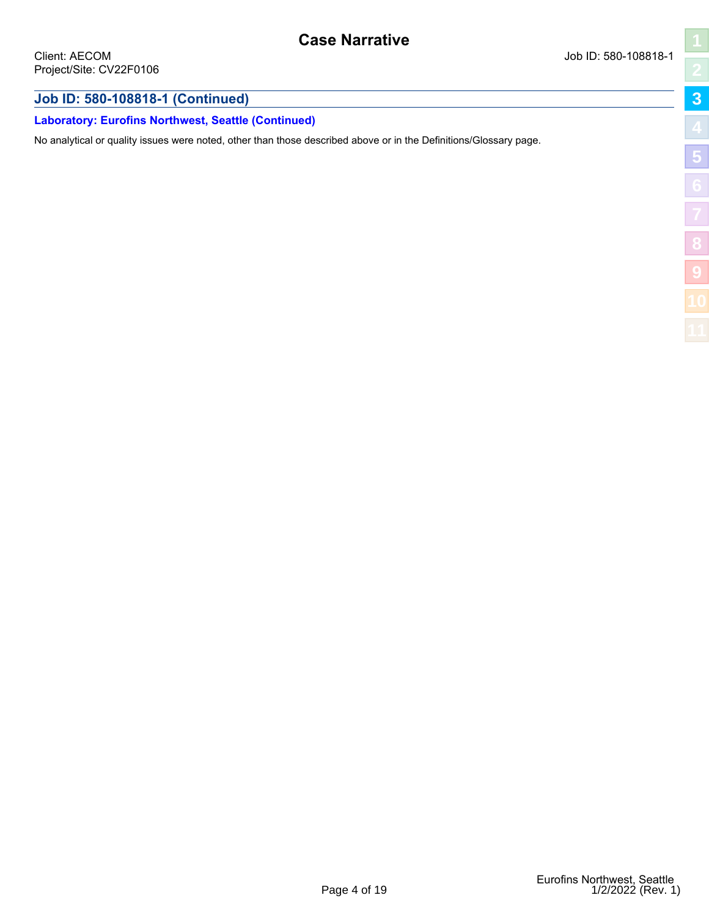#### **Job ID: 580-108818-1 (Continued)**

#### **Laboratory: Eurofins Northwest, Seattle (Continued)**

No analytical or quality issues were noted, other than those described above or in the Definitions/Glossary page.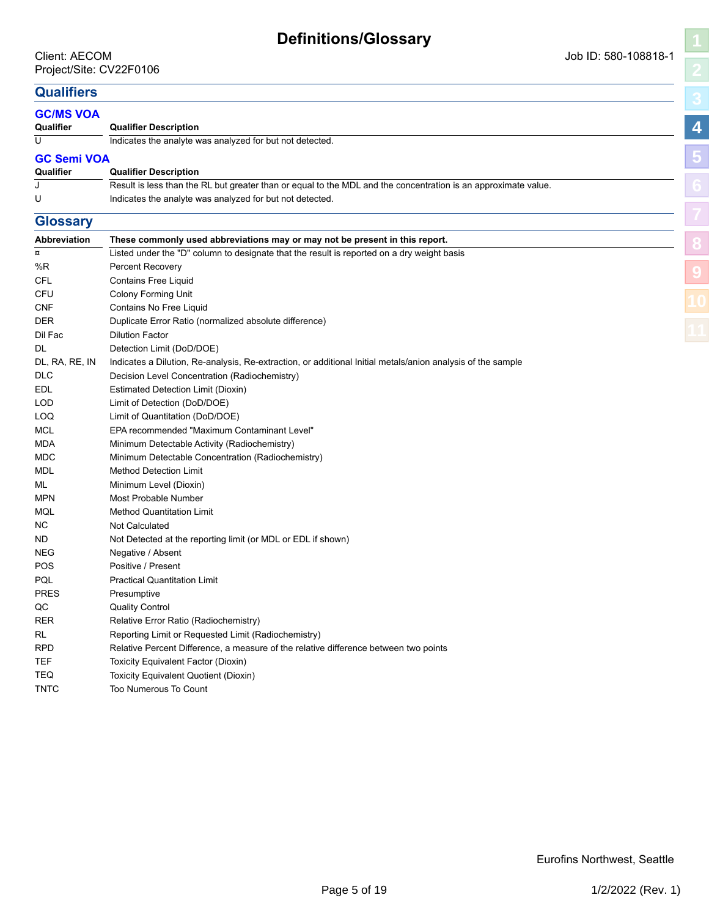#### <span id="page-4-1"></span><span id="page-4-0"></span>**Qualifiers**

| Qualliels           |                                                                                                                |   |
|---------------------|----------------------------------------------------------------------------------------------------------------|---|
| <b>GC/MS VOA</b>    |                                                                                                                |   |
| Qualifier           | <b>Qualifier Description</b>                                                                                   | 4 |
| U                   | Indicates the analyte was analyzed for but not detected.                                                       |   |
| <b>GC Semi VOA</b>  |                                                                                                                |   |
| Qualifier           | <b>Qualifier Description</b>                                                                                   |   |
| J                   | Result is less than the RL but greater than or equal to the MDL and the concentration is an approximate value. |   |
| U                   | Indicates the analyte was analyzed for but not detected.                                                       |   |
|                     |                                                                                                                |   |
| <b>Glossary</b>     |                                                                                                                |   |
| <b>Abbreviation</b> | These commonly used abbreviations may or may not be present in this report.                                    |   |
| ¤                   | Listed under the "D" column to designate that the result is reported on a dry weight basis                     |   |
| %R                  | <b>Percent Recovery</b>                                                                                        |   |
| CFL                 | <b>Contains Free Liquid</b>                                                                                    |   |
| CFU                 | <b>Colony Forming Unit</b>                                                                                     |   |
| CNF                 | Contains No Free Liquid                                                                                        |   |
| DER                 | Duplicate Error Ratio (normalized absolute difference)                                                         |   |
| Dil Fac             | <b>Dilution Factor</b>                                                                                         |   |
| DL                  | Detection Limit (DoD/DOE)                                                                                      |   |
| DL, RA, RE, IN      | Indicates a Dilution, Re-analysis, Re-extraction, or additional Initial metals/anion analysis of the sample    |   |
| DLC                 | Decision Level Concentration (Radiochemistry)                                                                  |   |
| EDL                 | Estimated Detection Limit (Dioxin)                                                                             |   |
| LOD                 | Limit of Detection (DoD/DOE)                                                                                   |   |
| LOQ                 | Limit of Quantitation (DoD/DOE)                                                                                |   |
| MCL                 | EPA recommended "Maximum Contaminant Level"                                                                    |   |
| MDA                 | Minimum Detectable Activity (Radiochemistry)                                                                   |   |
| MDC                 | Minimum Detectable Concentration (Radiochemistry)                                                              |   |
| MDL                 | <b>Method Detection Limit</b>                                                                                  |   |
| ML                  | Minimum Level (Dioxin)                                                                                         |   |
| MPN                 | Most Probable Number                                                                                           |   |
| MQL                 | <b>Method Quantitation Limit</b>                                                                               |   |
| NС                  | <b>Not Calculated</b>                                                                                          |   |
| ND.                 | Not Detected at the reporting limit (or MDL or EDL if shown)                                                   |   |
| NEG                 | Negative / Absent                                                                                              |   |
| POS                 | Positive / Present                                                                                             |   |
| PQL                 | <b>Practical Quantitation Limit</b>                                                                            |   |
| PRES                | Presumptive                                                                                                    |   |
| QC                  | <b>Quality Control</b>                                                                                         |   |
| RER                 | Relative Error Ratio (Radiochemistry)                                                                          |   |
| RL                  | Reporting Limit or Requested Limit (Radiochemistry)                                                            |   |
| RPD                 | Relative Percent Difference, a measure of the relative difference between two points                           |   |
| TEF                 | Toxicity Equivalent Factor (Dioxin)                                                                            |   |
| TEQ                 | Toxicity Equivalent Quotient (Dioxin)                                                                          |   |
| <b>TNTC</b>         | Too Numerous To Count                                                                                          |   |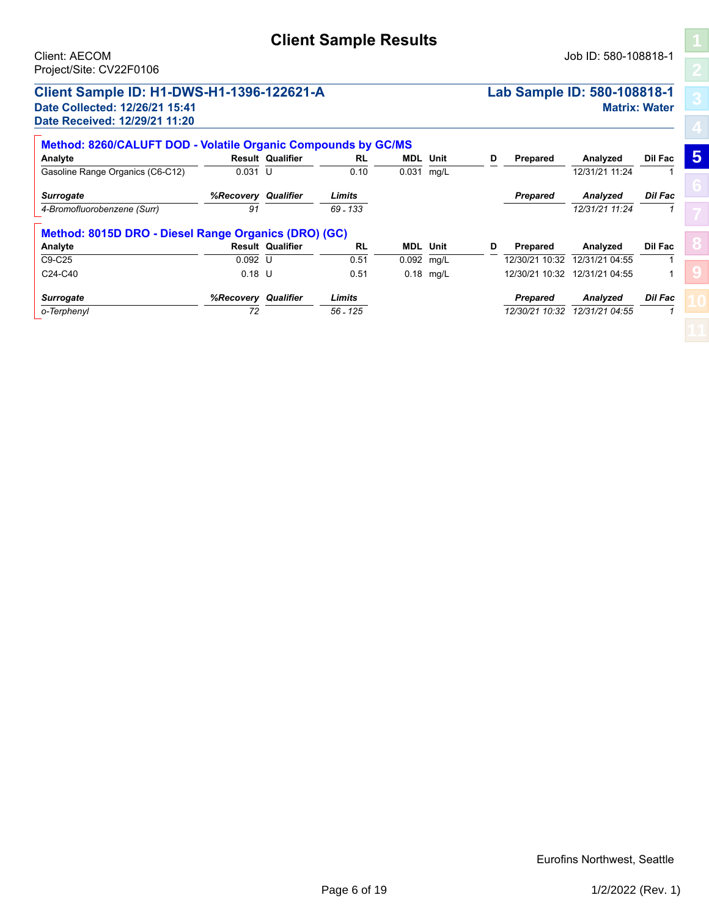#### <span id="page-5-1"></span><span id="page-5-0"></span>**Client Sample ID: H1-DWS-H1-1396-122621-A Lab Sample ID: 580-108818-1 Date Collected: 12/26/21 15:41 Matrix: Water Date Received: 12/29/21 11:20**

| Method: 8260/CALUFT DOD - Volatile Organic Compounds by GC/MS |                  |                         |            |                 |             |   |                   |                               |                |   |
|---------------------------------------------------------------|------------------|-------------------------|------------|-----------------|-------------|---|-------------------|-------------------------------|----------------|---|
| Analyte                                                       |                  | <b>Result Qualifier</b> | <b>RL</b>  | <b>MDL</b> Unit |             | D | Prepared          | Analyzed                      | Dil Fac        | 5 |
| Gasoline Range Organics (C6-C12)                              | $0.031$ U        |                         | 0.10       | $0.031$ mg/L    |             |   |                   | 12/31/21 11:24                |                |   |
| <b>Surrogate</b>                                              | %Recovery        | Qualifier               | Limits     |                 |             |   | <b>Prepared</b>   | <b>Analvzed</b>               | <b>Dil Fac</b> |   |
| 4-Bromofluorobenzene (Surr)                                   | 91               |                         | $69 - 133$ |                 |             |   |                   | 12/31/21 11:24                |                |   |
| Method: 8015D DRO - Diesel Range Organics (DRO) (GC)          |                  |                         |            |                 |             |   |                   |                               |                |   |
| Analyte                                                       |                  | <b>Result Qualifier</b> | <b>RL</b>  | <b>MDL</b> Unit |             | D | Prepared          | Analyzed                      | Dil Fac        |   |
| C9-C25                                                        | $0.092$ U        |                         | 0.51       | 0.092 mg/L      |             |   | 12/30/21<br>10.32 | 12/31/21 04:55                |                |   |
| C24-C40                                                       | $0.18$ U         |                         | 0.51       |                 | $0.18$ mg/L |   |                   | 12/30/21 10:32 12/31/21 04:55 |                |   |
| <b>Surrogate</b>                                              | <b>%Recovery</b> | Qualifier               | Limits     |                 |             |   | <b>Prepared</b>   | Analyzed                      | <b>Dil Fac</b> |   |
| o-Terphenyl                                                   | 72               |                         | $56 - 125$ |                 |             |   | 12/30/21 10:32    | 12/31/21 04:55                |                |   |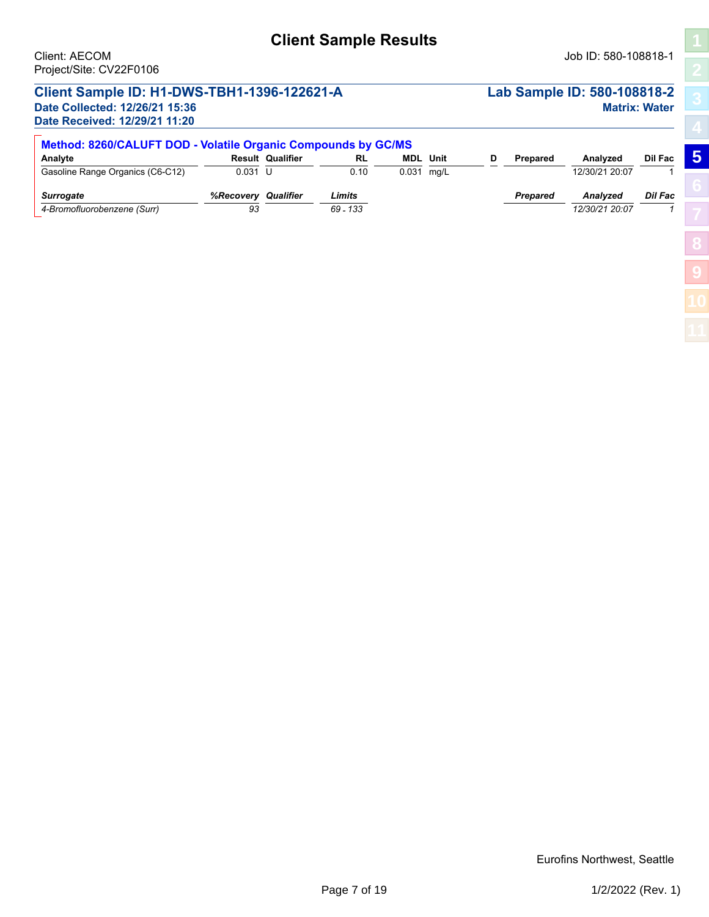## **Client Sample Results**

## **Client Sample ID: H1-DWS-TBH1-1396-122621-A Lab Sample ID: 580-108818-2**

**Date Received: 12/29/21 11:20**

# **Date Collected: 12/26/21 15:36 Matrix: Water**

**[5](#page-5-0)**

**[8](#page-14-0)**

**[9](#page-15-0)**

| Method: 8260/CALUFT DOD - Volatile Organic Compounds by GC/MS |                 |                         |                      |            |                 |   |                 |                            |                |  |  |  |
|---------------------------------------------------------------|-----------------|-------------------------|----------------------|------------|-----------------|---|-----------------|----------------------------|----------------|--|--|--|
| Analyte                                                       |                 | <b>Result Qualifier</b> | <b>RL</b>            |            | <b>MDL</b> Unit | D | Prepared        | Analyzed                   | Dil Fac        |  |  |  |
| Gasoline Range Organics (C6-C12)                              | $0.031$ U       |                         | 0.10                 | 0.031 mg/L |                 |   |                 | 12/30/21 20:07             |                |  |  |  |
| <b>Surrogate</b><br>4-Bromofluorobenzene (Surr)               | %Recoverv<br>93 | Qualifier               | Limits<br>$69 - 133$ |            |                 |   | <b>Prepared</b> | Analyzed<br>12/30/21 20:07 | <b>Dil Fac</b> |  |  |  |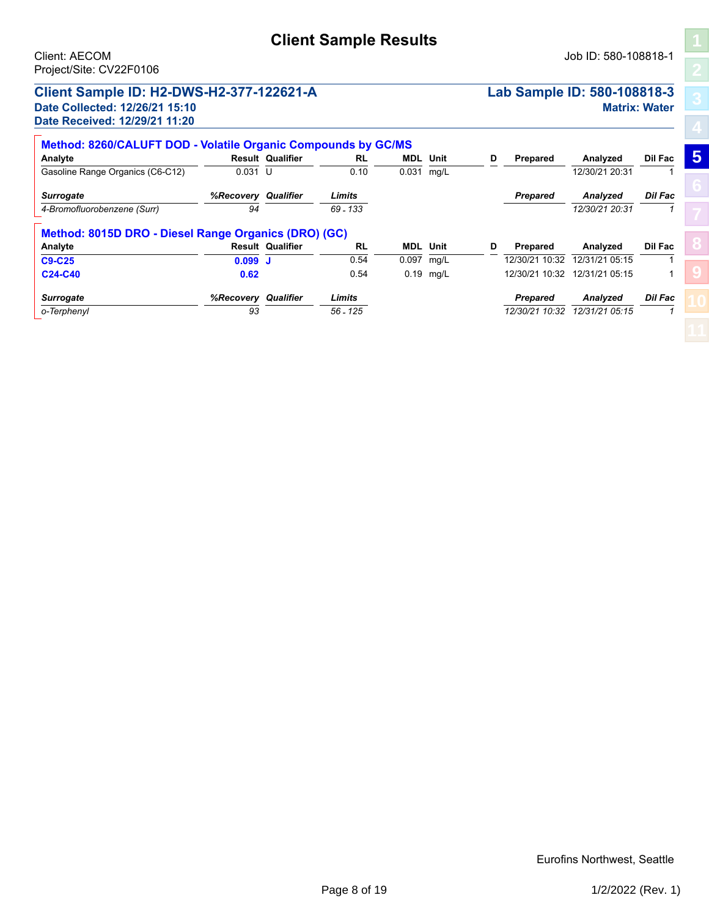#### **Client Sample ID: H2-DWS-H2-377-122621-A Lab Sample ID: 580-108818-3 Date Collected: 12/26/21 15:10 Matrix: Water Date Received: 12/29/21 11:20**

| Method: 8260/CALUFT DOD - Volatile Organic Compounds by GC/MS |           |                         |            |                 |             |   |                 |                |                |                 |  |  |
|---------------------------------------------------------------|-----------|-------------------------|------------|-----------------|-------------|---|-----------------|----------------|----------------|-----------------|--|--|
| Analyte                                                       |           | <b>Result Qualifier</b> | RL         | <b>MDL</b> Unit |             | D | Prepared        | Analyzed       | Dil Fac        | $5\overline{5}$ |  |  |
| Gasoline Range Organics (C6-C12)                              | $0.031$ U |                         | 0.10       | 0.031           | ma/L        |   |                 | 12/30/21 20:31 |                |                 |  |  |
| <b>Surrogate</b>                                              | %Recovery | Qualifier               | Limits     |                 |             |   | <b>Prepared</b> | Analyzed       | <b>Dil Fac</b> |                 |  |  |
| 4-Bromofluorobenzene (Surr)                                   | 94        |                         | $69 - 133$ |                 |             |   |                 | 12/30/21 20:31 |                |                 |  |  |
|                                                               |           |                         |            |                 |             |   |                 |                |                |                 |  |  |
| Method: 8015D DRO - Diesel Range Organics (DRO) (GC)          |           |                         |            |                 |             |   |                 |                |                |                 |  |  |
| Analyte                                                       |           | <b>Result Qualifier</b> | <b>RL</b>  | <b>MDL</b> Unit |             | D | Prepared        | Analyzed       | <b>Dil Fac</b> |                 |  |  |
| <b>C9-C25</b>                                                 | 0.099J    |                         | 0.54       | 0.097           | mg/L        |   | 12/30/21 10:32  | 12/31/21 05:15 |                |                 |  |  |
| C24-C40                                                       | 0.62      |                         | 0.54       |                 | $0.19$ mg/L |   | 12/30/21 10:32  | 12/31/21 05:15 |                |                 |  |  |
| <b>Surrogate</b>                                              | %Recovery | Qualifier               | Limits     |                 |             |   | <b>Prepared</b> | Analyzed       | <b>Dil Fac</b> |                 |  |  |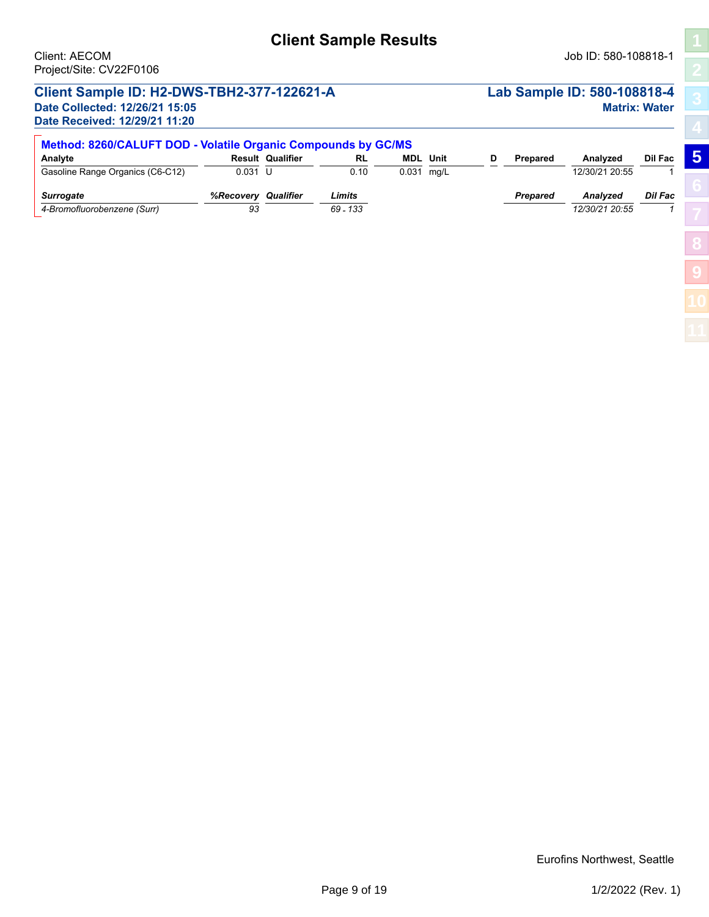## **Client Sample Results**

#### **Client Sample ID: H2-DWS-TBH2-377-122621-A Lab Sample ID: 580-108818-4 Date Collected: 12/26/21 15:05 Matrix: Water**

**Date Received: 12/29/21 11:20**

**[5](#page-5-0)**

**[8](#page-14-0)**

**[9](#page-15-0)**

| Method: 8260/CALUFT DOD - Volatile Organic Compounds by GC/MS |           |                         |           |                 |  |  |                 |                 |                |  |  |  |
|---------------------------------------------------------------|-----------|-------------------------|-----------|-----------------|--|--|-----------------|-----------------|----------------|--|--|--|
| Analyte                                                       |           | <b>Result Qualifier</b> | <b>RL</b> | <b>MDL</b> Unit |  |  | <b>Prepared</b> | Analyzed        | Dil Fac        |  |  |  |
| Gasoline Range Organics (C6-C12)                              | $0.031$ U |                         | 0.10      | 0.031 mg/L      |  |  |                 | 12/30/21 20:55  |                |  |  |  |
| <b>Surrogate</b>                                              | %Recovery | Qualifier               | Limits    |                 |  |  | Prepared        | <b>Analyzed</b> | <b>Dil Fac</b> |  |  |  |
| 4-Bromofluorobenzene (Surr)                                   | 93        |                         | 69 - 133  |                 |  |  |                 | 12/30/21 20:55  |                |  |  |  |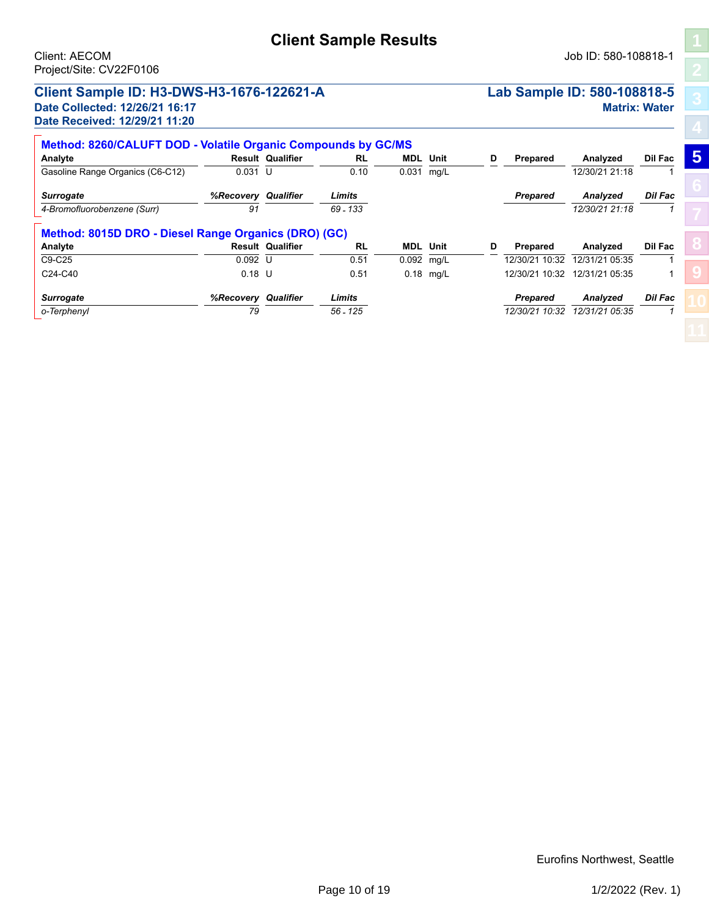#### **Client Sample ID: H3-DWS-H3-1676-122621-A Lab Sample ID: 580-108818-5 Date Collected: 12/26/21 16:17 Matrix: Water Date Received: 12/29/21 11:20**

| Method: 8260/CALUFT DOD - Volatile Organic Compounds by GC/MS |                |                               |                   |   |             |                 |            |                         |                  |                                                                     |  |  |
|---------------------------------------------------------------|----------------|-------------------------------|-------------------|---|-------------|-----------------|------------|-------------------------|------------------|---------------------------------------------------------------------|--|--|
| $5\overline{5}$                                               | Dil Fac        | Analyzed                      | Prepared          | D |             | <b>MDL</b> Unit | RL         | <b>Result Qualifier</b> |                  | Analyte                                                             |  |  |
|                                                               |                | 12/30/21 21:18                |                   |   |             | $0.031$ mg/L    | 0.10       |                         | $0.031$ U        | Gasoline Range Organics (C6-C12)                                    |  |  |
|                                                               | <b>Dil Fac</b> | Analyzed                      | <b>Prepared</b>   |   |             |                 | Limits     | Qualifier               | %Recovery        | <b>Surrogate</b>                                                    |  |  |
|                                                               |                | 12/30/21 21:18                |                   |   |             |                 | 69 - 133   |                         | 91               | 4-Bromofluorobenzene (Surr)                                         |  |  |
|                                                               |                |                               |                   |   |             |                 |            |                         |                  |                                                                     |  |  |
|                                                               | Dil Fac        | Analyzed                      | <b>Prepared</b>   | D |             | <b>MDL</b> Unit | <b>RL</b>  | <b>Result Qualifier</b> |                  | Analyte                                                             |  |  |
|                                                               |                | 12/31/21 05:35                | 12/30/21<br>10.32 |   |             | $0.092$ mg/L    | 0.51       |                         | $0.092$ U        | C9-C25                                                              |  |  |
|                                                               |                | 12/30/21 10:32 12/31/21 05:35 |                   |   | $0.18$ mg/L |                 | 0.51       |                         | $0.18$ U         | C <sub>24</sub> -C <sub>40</sub>                                    |  |  |
|                                                               | <b>Dil Fac</b> | Analyzed                      | <b>Prepared</b>   |   |             |                 | Limits     | Qualifier               | <b>%Recovery</b> | <b>Surrogate</b>                                                    |  |  |
|                                                               |                | 12/31/21 05:35                | 12/30/21 10:32    |   |             |                 | $56 - 125$ |                         | 79               | Method: 8015D DRO - Diesel Range Organics (DRO) (GC)<br>o-Terphenyl |  |  |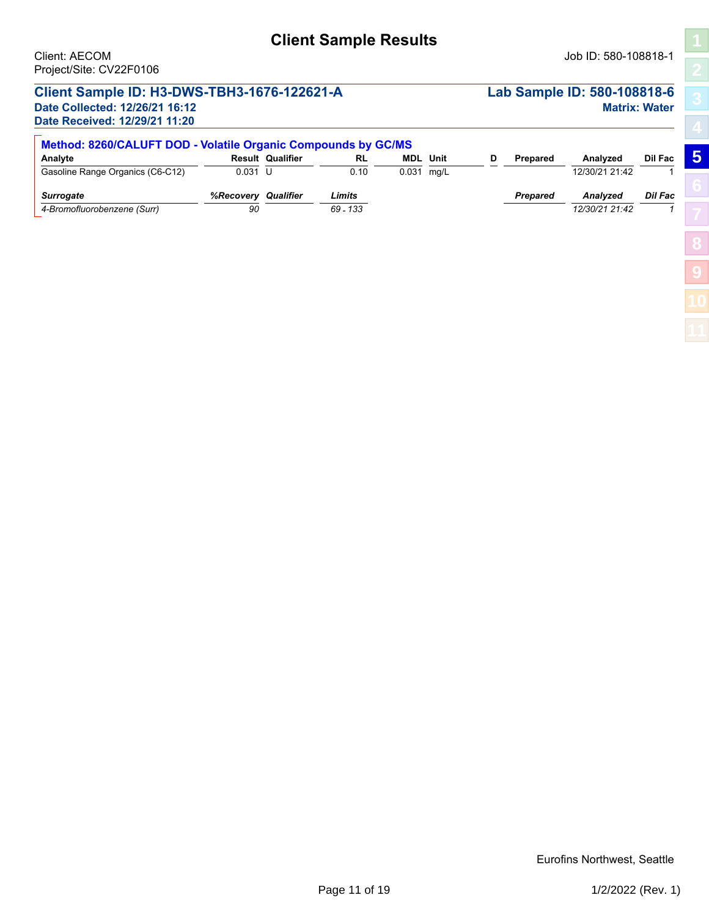## **Client Sample Results**

## **Client Sample ID: H3-DWS-TBH3-1676-122621-A Lab Sample ID: 580-108818-6**

**Date Received: 12/29/21 11:20**

# **Date Collected: 12/26/21 16:12 Matrix: Water**

**[5](#page-5-0)**

**[8](#page-14-0)**

**[9](#page-15-0)**

| Method: 8260/CALUFT DOD - Volatile Organic Compounds by GC/MS |                 |                         |                    |              |                 |  |                 |                                   |         |  |  |  |
|---------------------------------------------------------------|-----------------|-------------------------|--------------------|--------------|-----------------|--|-----------------|-----------------------------------|---------|--|--|--|
| Analyte                                                       |                 | <b>Result Qualifier</b> | <b>RL</b>          |              | <b>MDL</b> Unit |  | <b>Prepared</b> | Analyzed                          | Dil Fac |  |  |  |
| Gasoline Range Organics (C6-C12)                              | $0.031$ U       |                         | 0.10               | $0.031$ mg/L |                 |  |                 | 12/30/21 21:42                    |         |  |  |  |
| <b>Surrogate</b><br>4-Bromofluorobenzene (Surr)               | %Recoverv<br>90 | Qualifier               | Limits<br>69 - 133 |              |                 |  | <b>Prepared</b> | <b>Analvzed</b><br>12/30/21 21:42 | Dil Fac |  |  |  |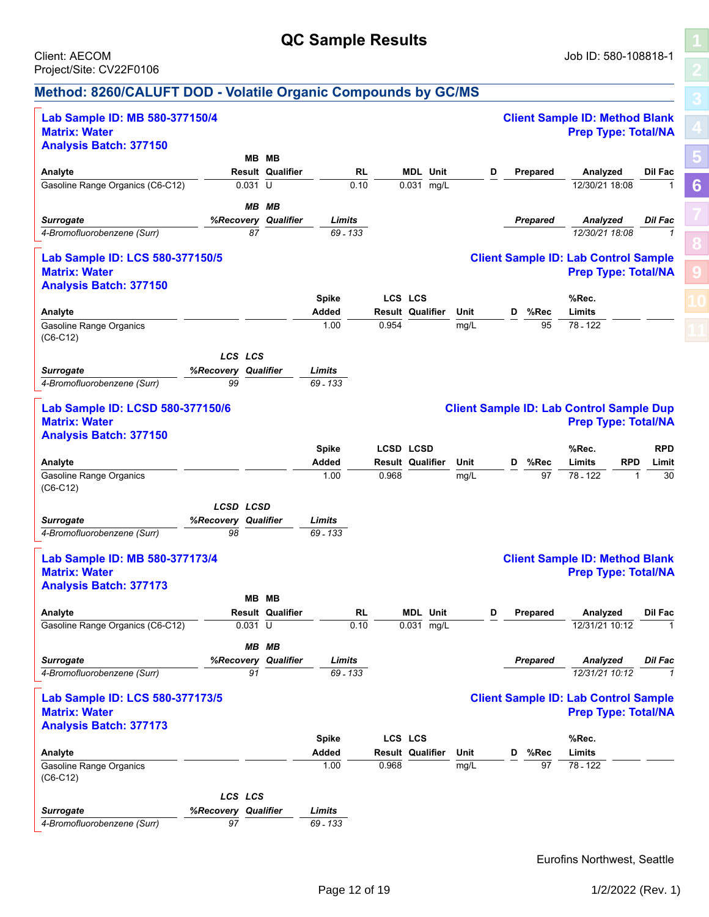## **QC Sample Results**

**[5](#page-5-0)**

**[6](#page-11-0)**

**[8](#page-14-0)**

**[9](#page-15-0)**

#### <span id="page-11-1"></span><span id="page-11-0"></span>**Method: 8260/CALUFT DOD - Volatile Organic Compounds by GC/MS**

| Lab Sample ID: MB 580-377150/4<br><b>Matrix: Water</b>   |                     |                         |              |                         |      |                 | <b>Client Sample ID: Method Blank</b><br><b>Prep Type: Total/NA</b>           |                    |
|----------------------------------------------------------|---------------------|-------------------------|--------------|-------------------------|------|-----------------|-------------------------------------------------------------------------------|--------------------|
| <b>Analysis Batch: 377150</b>                            |                     |                         |              |                         |      |                 |                                                                               |                    |
|                                                          | MВ                  | MВ                      |              |                         |      |                 |                                                                               |                    |
| Analyte                                                  |                     | <b>Result Qualifier</b> | <b>RL</b>    | <b>MDL</b> Unit         | D    | Prepared        | Analyzed                                                                      | Dil Fac            |
| Gasoline Range Organics (C6-C12)                         |                     | $0.031$ U               | 0.10         | 0.031 mg/L              |      |                 | 12/30/21 18:08                                                                | $\mathbf{1}$       |
|                                                          |                     |                         |              |                         |      |                 |                                                                               |                    |
|                                                          | MВ                  | MВ                      |              |                         |      |                 |                                                                               |                    |
| <b>Surrogate</b>                                         | %Recovery           | Qualifier               | Limits       |                         |      | Prepared        | Analyzed                                                                      | Dil Fac            |
| 4-Bromofluorobenzene (Surr)                              |                     | 87                      | 69 - 133     |                         |      |                 | 12/30/21 18:08                                                                | $\overline{1}$     |
| Lab Sample ID: LCS 580-377150/5<br><b>Matrix: Water</b>  |                     |                         |              |                         |      |                 | <b>Client Sample ID: Lab Control Sample</b><br><b>Prep Type: Total/NA</b>     |                    |
| <b>Analysis Batch: 377150</b>                            |                     |                         |              |                         |      |                 |                                                                               |                    |
|                                                          |                     |                         | <b>Spike</b> | LCS LCS                 |      |                 | %Rec.                                                                         |                    |
| Analyte                                                  |                     |                         | Added        | <b>Result Qualifier</b> | Unit | %Rec<br>D       | Limits                                                                        |                    |
| <b>Gasoline Range Organics</b><br>$(C6-C12)$             |                     |                         | 1.00         | 0.954                   | mg/L | 95              | 78 - 122                                                                      |                    |
|                                                          | LCS LCS             |                         |              |                         |      |                 |                                                                               |                    |
| <b>Surrogate</b>                                         | %Recovery Qualifier |                         | Limits       |                         |      |                 |                                                                               |                    |
| 4-Bromofluorobenzene (Surr)                              | 99                  |                         |              |                         |      |                 |                                                                               |                    |
|                                                          |                     |                         | 69 - 133     |                         |      |                 |                                                                               |                    |
| Lab Sample ID: LCSD 580-377150/6<br><b>Matrix: Water</b> |                     |                         |              |                         |      |                 | <b>Client Sample ID: Lab Control Sample Dup</b><br><b>Prep Type: Total/NA</b> |                    |
| <b>Analysis Batch: 377150</b>                            |                     |                         |              |                         |      |                 |                                                                               |                    |
|                                                          |                     |                         | <b>Spike</b> | <b>LCSD LCSD</b>        |      |                 | %Rec.                                                                         | <b>RPD</b>         |
| Analyte                                                  |                     |                         | Added        | <b>Result Qualifier</b> | Unit | %Rec<br>D       | <b>RPD</b><br>Limits                                                          | Limit              |
| <b>Gasoline Range Organics</b>                           |                     |                         | 1.00         | 0.968                   | mg/L | 97              | 78 - 122                                                                      | 30<br>$\mathbf{1}$ |
| $(C6-C12)$                                               |                     |                         |              |                         |      |                 |                                                                               |                    |
|                                                          | LCSD LCSD           |                         |              |                         |      |                 |                                                                               |                    |
|                                                          |                     | Qualifier               | Limits       |                         |      |                 |                                                                               |                    |
| <b>Surrogate</b><br>4-Bromofluorobenzene (Surr)          | %Recovery<br>98     |                         | 69 - 133     |                         |      |                 |                                                                               |                    |
|                                                          |                     |                         |              |                         |      |                 |                                                                               |                    |
| Lab Sample ID: MB 580-377173/4                           |                     |                         |              |                         |      |                 | <b>Client Sample ID: Method Blank</b>                                         |                    |
| <b>Matrix: Water</b>                                     |                     |                         |              |                         |      |                 | <b>Prep Type: Total/NA</b>                                                    |                    |
|                                                          |                     |                         |              |                         |      |                 |                                                                               |                    |
| <b>Analysis Batch: 377173</b>                            |                     |                         |              |                         |      |                 |                                                                               |                    |
|                                                          | MВ                  | MВ                      |              |                         |      |                 |                                                                               |                    |
| Analyte                                                  |                     | <b>Result Qualifier</b> | RL           | <b>MDL</b> Unit         | D    | <b>Prepared</b> | Analyzed                                                                      | Dil Fac            |
| Gasoline Range Organics (C6-C12)                         |                     | $0.031$ U               | 0.10         | 0.031 mg/L              |      |                 | 12/31/21 10:12                                                                | 1                  |
|                                                          |                     | MB MB                   |              |                         |      |                 |                                                                               |                    |
| <b>Surrogate</b>                                         |                     | %Recovery Qualifier     | Limits       |                         |      | <b>Prepared</b> | Analyzed                                                                      | <b>Dil Fac</b>     |
| 4-Bromofluorobenzene (Surr)                              |                     | 91                      | 69 - 133     |                         |      |                 | 12/31/21 10:12                                                                | $\mathcal I$       |
|                                                          |                     |                         |              |                         |      |                 |                                                                               |                    |
| Lab Sample ID: LCS 580-377173/5<br><b>Matrix: Water</b>  |                     |                         |              |                         |      |                 | <b>Client Sample ID: Lab Control Sample</b><br><b>Prep Type: Total/NA</b>     |                    |
| <b>Analysis Batch: 377173</b>                            |                     |                         |              |                         |      |                 |                                                                               |                    |
|                                                          |                     |                         | <b>Spike</b> | LCS LCS                 |      |                 | %Rec.                                                                         |                    |
| Analyte                                                  |                     |                         | Added        | <b>Result Qualifier</b> | Unit | %Rec<br>D       | Limits                                                                        |                    |
| <b>Gasoline Range Organics</b><br>$(C6-C12)$             |                     |                         | 1.00         | 0.968                   | mg/L | 97              | 78 - 122                                                                      |                    |
|                                                          | LCS LCS             |                         |              |                         |      |                 |                                                                               |                    |
| <b>Surrogate</b>                                         | %Recovery Qualifier |                         | Limits       |                         |      |                 |                                                                               |                    |
| 4-Bromofluorobenzene (Surr)                              | 97                  |                         | 69 - 133     |                         |      |                 |                                                                               |                    |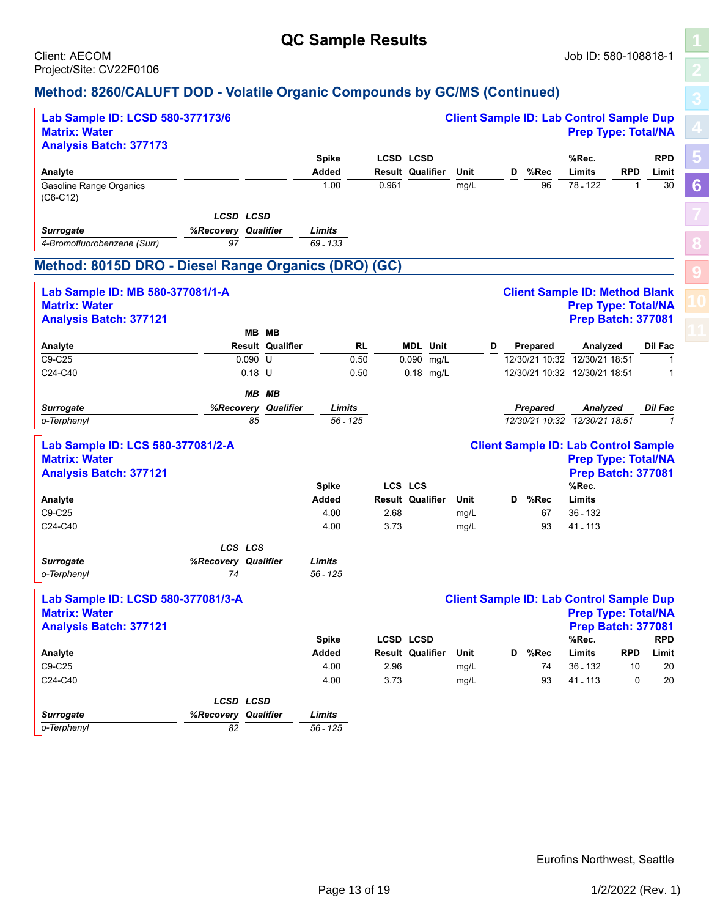## **QC Sample Results**

**[5](#page-5-0)**

**[6](#page-11-0)**

**[8](#page-14-0)**

**[9](#page-15-0)**

#### **Method: 8260/CALUFT DOD - Volatile Organic Compounds by GC/MS (Continued)**

| Lab Sample ID: LCSD 580-377173/6<br><b>Matrix: Water</b> |                                         |          |                         |                       |            |       |                                      |      | <b>Client Sample ID: Lab Control Sample Dup</b> |   |                 |                 | <b>Prep Type: Total/NA</b>                              |                 |                |
|----------------------------------------------------------|-----------------------------------------|----------|-------------------------|-----------------------|------------|-------|--------------------------------------|------|-------------------------------------------------|---|-----------------|-----------------|---------------------------------------------------------|-----------------|----------------|
| <b>Analysis Batch: 377173</b>                            |                                         |          |                         |                       |            |       |                                      |      |                                                 |   |                 |                 |                                                         |                 |                |
|                                                          |                                         |          |                         | <b>Spike</b><br>Added |            |       | LCSD LCSD<br><b>Result Qualifier</b> |      | Unit                                            | D |                 | %Rec            | %Rec.<br>Limits                                         | <b>RPD</b>      | <b>RPD</b>     |
| Analyte<br><b>Gasoline Range Organics</b>                |                                         |          |                         | 1.00                  |            | 0.961 |                                      |      | mg/L                                            |   |                 | 96              | 78 - 122                                                | $\mathbf{1}$    | Limit<br>30    |
| $(C6-C12)$                                               |                                         |          |                         |                       |            |       |                                      |      |                                                 |   |                 |                 |                                                         |                 |                |
|                                                          |                                         |          |                         |                       |            |       |                                      |      |                                                 |   |                 |                 |                                                         |                 |                |
|                                                          | <b>LCSD LCSD</b><br>%Recovery Qualifier |          |                         | Limits                |            |       |                                      |      |                                                 |   |                 |                 |                                                         |                 |                |
| <b>Surrogate</b><br>4-Bromofluorobenzene (Surr)          | 97                                      |          |                         | 69 - 133              |            |       |                                      |      |                                                 |   |                 |                 |                                                         |                 |                |
|                                                          |                                         |          |                         |                       |            |       |                                      |      |                                                 |   |                 |                 |                                                         |                 |                |
| Method: 8015D DRO - Diesel Range Organics (DRO) (GC)     |                                         |          |                         |                       |            |       |                                      |      |                                                 |   |                 |                 |                                                         |                 |                |
| Lab Sample ID: MB 580-377081/1-A                         |                                         |          |                         |                       |            |       |                                      |      |                                                 |   |                 |                 | <b>Client Sample ID: Method Blank</b>                   |                 |                |
| <b>Matrix: Water</b>                                     |                                         |          |                         |                       |            |       |                                      |      |                                                 |   |                 |                 | <b>Prep Type: Total/NA</b>                              |                 |                |
| <b>Analysis Batch: 377121</b>                            |                                         |          |                         |                       |            |       |                                      |      |                                                 |   |                 |                 | <b>Prep Batch: 377081</b>                               |                 |                |
|                                                          |                                         | MB MB    |                         |                       |            |       |                                      |      |                                                 |   |                 |                 |                                                         |                 |                |
| Analyte                                                  |                                         |          | <b>Result Qualifier</b> |                       | <b>RL</b>  |       | <b>MDL Unit</b>                      |      | D                                               |   | <b>Prepared</b> |                 | Analyzed                                                |                 | Dil Fac        |
| C9-C25                                                   |                                         | 0.090 U  |                         |                       | 0.50       |       | 0.090                                | mg/L |                                                 |   |                 |                 | 12/30/21 10:32 12/30/21 18:51                           |                 | 1              |
| C24-C40                                                  |                                         | $0.18$ U |                         |                       | 0.50       |       | 0.18 mg/L                            |      |                                                 |   |                 |                 | 12/30/21 10:32 12/30/21 18:51                           |                 | 1              |
|                                                          |                                         | MВ       | ΜВ                      |                       |            |       |                                      |      |                                                 |   |                 |                 |                                                         |                 |                |
| <b>Surrogate</b>                                         |                                         |          | %Recovery Qualifier     | Limits                |            |       |                                      |      |                                                 |   |                 | <b>Prepared</b> | Analyzed                                                |                 | <b>Dil Fac</b> |
| o-Terphenyl                                              |                                         | 85       |                         |                       | $56 - 125$ |       |                                      |      |                                                 |   |                 |                 | 12/30/21 10:32 12/30/21 18:51                           |                 | $\mathbf{1}$   |
|                                                          |                                         |          |                         |                       |            |       |                                      |      |                                                 |   |                 |                 |                                                         |                 |                |
| Lab Sample ID: LCS 580-377081/2-A                        |                                         |          |                         |                       |            |       |                                      |      |                                                 |   |                 |                 | <b>Client Sample ID: Lab Control Sample</b>             |                 |                |
| <b>Matrix: Water</b>                                     |                                         |          |                         |                       |            |       |                                      |      |                                                 |   |                 |                 | <b>Prep Type: Total/NA</b><br><b>Prep Batch: 377081</b> |                 |                |
| <b>Analysis Batch: 377121</b>                            |                                         |          |                         | <b>Spike</b>          |            |       | <b>LCS LCS</b>                       |      |                                                 |   |                 |                 | %Rec.                                                   |                 |                |
| Analyte                                                  |                                         |          |                         | Added                 |            |       | <b>Result Qualifier</b>              |      | Unit                                            | D |                 | %Rec            | Limits                                                  |                 |                |
| C9-C25                                                   |                                         |          |                         | 4.00                  |            | 2.68  |                                      |      | mg/L                                            |   |                 | 67              | $36 - 132$                                              |                 |                |
| C24-C40                                                  |                                         |          |                         | 4.00                  |            | 3.73  |                                      |      | mg/L                                            |   |                 | 93              | 41 - 113                                                |                 |                |
|                                                          |                                         |          |                         |                       |            |       |                                      |      |                                                 |   |                 |                 |                                                         |                 |                |
|                                                          | LCS LCS                                 |          |                         |                       |            |       |                                      |      |                                                 |   |                 |                 |                                                         |                 |                |
| <b>Surrogate</b><br>o-Terphenyl                          | %Recovery Qualifier<br>74               |          |                         | Limits<br>56 - 125    |            |       |                                      |      |                                                 |   |                 |                 |                                                         |                 |                |
|                                                          |                                         |          |                         |                       |            |       |                                      |      |                                                 |   |                 |                 |                                                         |                 |                |
| Lab Sample ID: LCSD 580-377081/3-A                       |                                         |          |                         |                       |            |       |                                      |      | <b>Client Sample ID: Lab Control Sample Dup</b> |   |                 |                 |                                                         |                 |                |
| <b>Matrix: Water</b>                                     |                                         |          |                         |                       |            |       |                                      |      |                                                 |   |                 |                 | <b>Prep Type: Total/NA</b>                              |                 |                |
| <b>Analysis Batch: 377121</b>                            |                                         |          |                         |                       |            |       |                                      |      |                                                 |   |                 |                 | <b>Prep Batch: 377081</b>                               |                 |                |
|                                                          |                                         |          |                         | <b>Spike</b>          |            |       | <b>LCSD LCSD</b>                     |      |                                                 |   |                 |                 | %Rec.                                                   |                 | <b>RPD</b>     |
| Analyte                                                  |                                         |          |                         | Added                 |            |       | Result Qualifier                     |      | Unit                                            | D |                 | %Rec            | Limits                                                  | <b>RPD</b>      | Limit          |
| $C9-C25$                                                 |                                         |          |                         | 4.00                  |            | 2.96  |                                      |      | mg/L                                            |   |                 | 74              | 36 - 132                                                | $\overline{10}$ | 20             |
| C24-C40                                                  |                                         |          |                         | 4.00                  |            | 3.73  |                                      |      | mg/L                                            |   |                 | 93              | 41 - 113                                                | 0               | 20             |
|                                                          | LCSD LCSD                               |          |                         |                       |            |       |                                      |      |                                                 |   |                 |                 |                                                         |                 |                |
| <b>Surrogate</b>                                         | %Recovery Qualifier                     |          |                         | Limits                |            |       |                                      |      |                                                 |   |                 |                 |                                                         |                 |                |
| o-Terphenyl                                              | 82                                      |          |                         | 56 - 125              |            |       |                                      |      |                                                 |   |                 |                 |                                                         |                 |                |
|                                                          |                                         |          |                         |                       |            |       |                                      |      |                                                 |   |                 |                 |                                                         |                 |                |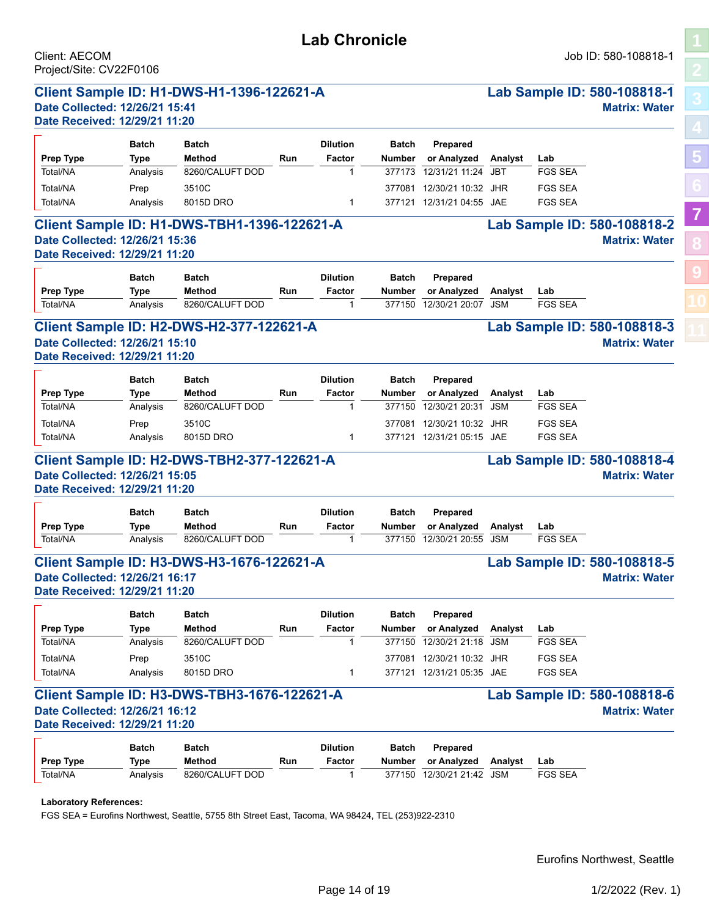| Date Received: 12/29/21 11:20                                                                                                                                                                                      |              |                                                    |     |                 |               |                           |            |                |                                                                                                            |
|--------------------------------------------------------------------------------------------------------------------------------------------------------------------------------------------------------------------|--------------|----------------------------------------------------|-----|-----------------|---------------|---------------------------|------------|----------------|------------------------------------------------------------------------------------------------------------|
|                                                                                                                                                                                                                    | <b>Batch</b> | <b>Batch</b>                                       |     | <b>Dilution</b> | <b>Batch</b>  | <b>Prepared</b>           |            |                |                                                                                                            |
| Prep Type                                                                                                                                                                                                          | Type         | Method                                             | Run | Factor          | <b>Number</b> | or Analyzed               | Analyst    | Lab            |                                                                                                            |
| Total/NA                                                                                                                                                                                                           | Analysis     | 8260/CALUFT DOD                                    |     | 1               | 377173        | 12/31/21 11:24            | <b>JBT</b> | <b>FGS SEA</b> |                                                                                                            |
| Total/NA                                                                                                                                                                                                           | Prep         | 3510C                                              |     |                 | 377081        | 12/30/21 10:32 JHR        |            | <b>FGS SEA</b> |                                                                                                            |
| Total/NA                                                                                                                                                                                                           | Analysis     | 8015D DRO                                          |     | $\mathbf{1}$    |               | 377121 12/31/21 04:55 JAE |            | <b>FGS SEA</b> |                                                                                                            |
|                                                                                                                                                                                                                    |              |                                                    |     |                 |               |                           |            |                |                                                                                                            |
| Date Collected: 12/26/21 15:36                                                                                                                                                                                     |              | <b>Client Sample ID: H1-DWS-TBH1-1396-122621-A</b> |     |                 |               |                           |            |                | Lab Sample ID: 580-108818-2<br><b>Matrix: Water</b>                                                        |
| Date Received: 12/29/21 11:20                                                                                                                                                                                      |              |                                                    |     |                 |               |                           |            |                |                                                                                                            |
|                                                                                                                                                                                                                    | <b>Batch</b> | <b>Batch</b>                                       |     | <b>Dilution</b> | <b>Batch</b>  | <b>Prepared</b>           |            |                |                                                                                                            |
| Prep Type                                                                                                                                                                                                          | <b>Type</b>  | <b>Method</b>                                      | Run | Factor          | <b>Number</b> | or Analyzed               | Analyst    | Lab            |                                                                                                            |
| Total/NA                                                                                                                                                                                                           | Analysis     | 8260/CALUFT DOD                                    |     |                 | 377150        | 12/30/21 20:07            | <b>JSM</b> | <b>FGS SEA</b> |                                                                                                            |
|                                                                                                                                                                                                                    |              | <b>Client Sample ID: H2-DWS-H2-377-122621-A</b>    |     |                 |               |                           |            |                | Lab Sample ID: 580-108818-3                                                                                |
| Date Collected: 12/26/21 15:10                                                                                                                                                                                     |              |                                                    |     |                 |               |                           |            |                | <b>Matrix: Water</b>                                                                                       |
| Date Received: 12/29/21 11:20                                                                                                                                                                                      |              |                                                    |     |                 |               |                           |            |                |                                                                                                            |
|                                                                                                                                                                                                                    | <b>Batch</b> | <b>Batch</b>                                       |     | <b>Dilution</b> | <b>Batch</b>  | Prepared                  |            |                |                                                                                                            |
| Prep Type                                                                                                                                                                                                          | Type         | Method                                             | Run | Factor          | <b>Number</b> | or Analyzed               | Analyst    | Lab            |                                                                                                            |
|                                                                                                                                                                                                                    |              | 8260/CALUFT DOD                                    |     | 1               | 377150        | 12/30/21 20:31            | <b>JSM</b> | <b>FGS SEA</b> |                                                                                                            |
| Total/NA                                                                                                                                                                                                           | Analysis     |                                                    |     |                 |               |                           |            |                |                                                                                                            |
|                                                                                                                                                                                                                    |              |                                                    |     |                 |               |                           |            |                |                                                                                                            |
| Total/NA                                                                                                                                                                                                           | Prep         | 3510C                                              |     |                 | 377081        | 12/30/21 10:32 JHR        |            | <b>FGS SEA</b> |                                                                                                            |
| Total/NA                                                                                                                                                                                                           | Analysis     | 8015D DRO                                          |     | 1               | 377121        | 12/31/21 05:15 JAE        |            | <b>FGS SEA</b> |                                                                                                            |
|                                                                                                                                                                                                                    |              | Client Sample ID: H2-DWS-TBH2-377-122621-A         |     |                 |               |                           |            |                |                                                                                                            |
|                                                                                                                                                                                                                    | <b>Batch</b> | <b>Batch</b>                                       |     | <b>Dilution</b> | <b>Batch</b>  | Prepared                  |            |                |                                                                                                            |
| Prep Type                                                                                                                                                                                                          | Type         | <b>Method</b>                                      | Run | Factor          | <b>Number</b> | or Analyzed               | Analyst    | Lab            |                                                                                                            |
| Total/NA                                                                                                                                                                                                           | Analysis     | 8260/CALUFT DOD                                    |     |                 | 377150        | 12/30/21 20:55            | <b>JSM</b> | <b>FGS SEA</b> |                                                                                                            |
|                                                                                                                                                                                                                    |              |                                                    |     |                 |               |                           |            |                | Lab Sample ID: 580-108818-4<br><b>Matrix: Water</b>                                                        |
|                                                                                                                                                                                                                    |              | <b>Client Sample ID: H3-DWS-H3-1676-122621-A</b>   |     |                 |               |                           |            |                |                                                                                                            |
|                                                                                                                                                                                                                    |              |                                                    |     |                 |               |                           |            |                |                                                                                                            |
|                                                                                                                                                                                                                    | <b>Batch</b> | Batch                                              |     | <b>Dilution</b> | <b>Batch</b>  | Prepared                  |            |                |                                                                                                            |
| Prep Type                                                                                                                                                                                                          | Type         | Method                                             | Run | Factor          | Number        | or Analyzed               | Analyst    | Lab            |                                                                                                            |
| Total/NA                                                                                                                                                                                                           | Analysis     | 8260/CALUFT DOD                                    |     |                 | 377150        | 12/30/21 21:18 JSM        |            | FGS SEA        |                                                                                                            |
| Total/NA                                                                                                                                                                                                           | Prep         | 3510C                                              |     |                 |               | 377081 12/30/21 10:32 JHR |            | <b>FGS SEA</b> |                                                                                                            |
| Total/NA                                                                                                                                                                                                           | Analysis     | 8015D DRO                                          |     | 1               |               | 377121 12/31/21 05:35 JAE |            | <b>FGS SEA</b> |                                                                                                            |
|                                                                                                                                                                                                                    |              | <b>Client Sample ID: H3-DWS-TBH3-1676-122621-A</b> |     |                 |               |                           |            |                |                                                                                                            |
|                                                                                                                                                                                                                    |              |                                                    |     |                 |               |                           |            |                |                                                                                                            |
|                                                                                                                                                                                                                    |              |                                                    |     |                 |               |                           |            |                |                                                                                                            |
|                                                                                                                                                                                                                    | <b>Batch</b> | <b>Batch</b>                                       |     | <b>Dilution</b> | <b>Batch</b>  | Prepared                  |            |                |                                                                                                            |
| Date Collected: 12/26/21 15:05<br>Date Received: 12/29/21 11:20<br>Date Collected: 12/26/21 16:17<br>Date Received: 12/29/21 11:20<br>Date Collected: 12/26/21 16:12<br>Date Received: 12/29/21 11:20<br>Prep Type | Type         | <b>Method</b>                                      | Run | Factor          | Number        | or Analyzed               | Analyst    | Lab            | Lab Sample ID: 580-108818-5<br><b>Matrix: Water</b><br>Lab Sample ID: 580-108818-6<br><b>Matrix: Water</b> |

FGS SEA = Eurofins Northwest, Seattle, 5755 8th Street East, Tacoma, WA 98424, TEL (253)922-2310

# **[5](#page-5-0) [7](#page-13-0) [8](#page-14-0)**

**[9](#page-15-0)**

## **Lab Chronicle**

<span id="page-13-1"></span><span id="page-13-0"></span>Client: AECOM Job ID: 580-108818-1 Project/Site: CV22F0106

# **Client Sample ID: H1-DWS-H1-1396-122621-A Lab Sample ID: 580-108818-1**

|           | <b>Batch</b> | <b>Batch</b>                                       |     | <b>Dilution</b> | <b>Batch</b>  | <b>Prepared</b>    |         |                      |
|-----------|--------------|----------------------------------------------------|-----|-----------------|---------------|--------------------|---------|----------------------|
| Prep Type | Type         | <b>Method</b>                                      | Run | Factor          | <b>Number</b> | or Analyzed        | Analyst | Lab                  |
| Total/NA  | Analysis     | 8260/CALUFT DOD                                    |     |                 | 377173        | 12/31/21 11:24 JBT |         | <b>FGS SEA</b>       |
| Total/NA  | Prep         | 3510C                                              |     |                 | 377081        | 12/30/21 10:32 JHR |         | <b>FGS SEA</b>       |
| Total/NA  | Analysis     | 8015D DRO                                          |     |                 | 377121        | 12/31/21 04:55 JAE |         | <b>FGS SEA</b>       |
|           |              | <b>Client Sample ID: H1-DWS-TBH1-1396-122621-A</b> |     |                 |               |                    |         | <b>Lab Sample II</b> |

| <b>Prep Type</b> | <b>Batch</b><br>Type | <b>Batch</b><br>Method | Run | <b>Dilution</b><br>Factor | <b>Batch</b><br>Number | Prepared<br>or Analvzed | Analvst | Lab            |
|------------------|----------------------|------------------------|-----|---------------------------|------------------------|-------------------------|---------|----------------|
| Total/NA         | Analvsis             | 8260/CALUFT DOD        |     |                           | 377150                 | 12/30/21 20:07 JSM      |         | <b>FGS SEA</b> |

|           | <b>Batch</b> | <b>Batch</b>    |     | <b>Dilution</b> | <b>Batch</b>  | Prepared           |         |                |
|-----------|--------------|-----------------|-----|-----------------|---------------|--------------------|---------|----------------|
| Prep Type | Type         | Method          | Run | Factor          | <b>Number</b> | or Analyzed        | Analyst | Lab            |
| Total/NA  | Analysis     | 8260/CALUFT DOD |     |                 | 377150        | 12/30/21 20:31     | JSM     | <b>FGS SEA</b> |
| Total/NA  | Prep         | 3510C           |     |                 | 377081        | 12/30/21 10:32 JHR |         | FGS SEA        |
| Total/NA  | Analysis     | 8015D DRO       |     |                 | 377121        | 12/31/21 05:15 JAE |         | <b>FGS SEA</b> |

| <b>Prep Type</b> | <b>Batch</b><br><b>Batch</b><br>Method<br>Type |                 | Run | <b>Dilution</b><br>Factor | <b>Batch</b><br>Number | <b>Prepared</b><br>or Analyzed | Analvst | Lab            |
|------------------|------------------------------------------------|-----------------|-----|---------------------------|------------------------|--------------------------------|---------|----------------|
| Total/NA         | Analysis                                       | 8260/CALUFT DOD |     |                           |                        | 377150 12/30/21 20:55 JSM      |         | <b>FGS SEA</b> |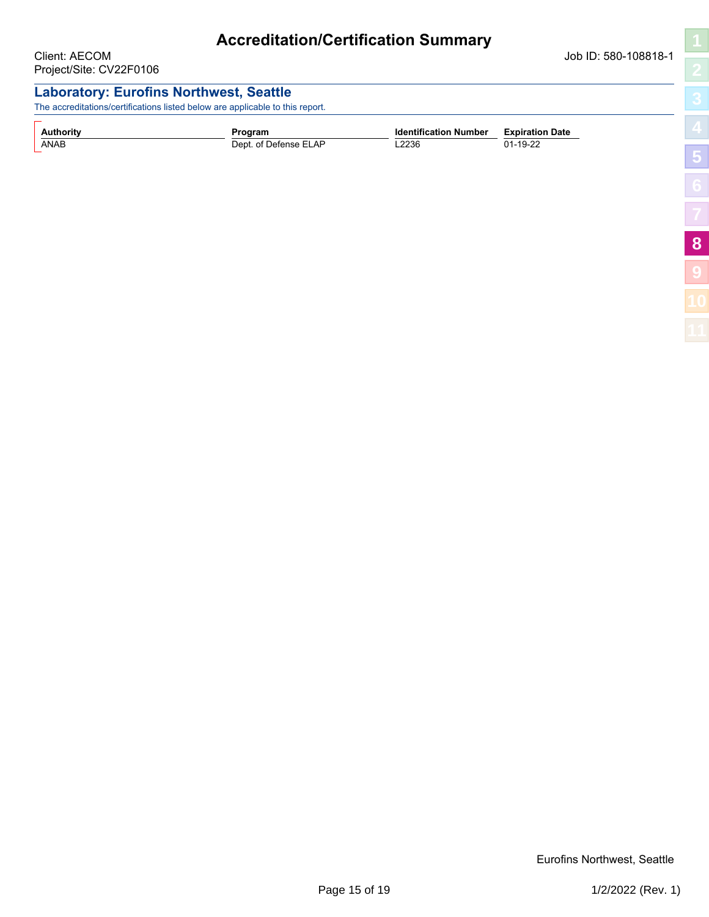<span id="page-14-1"></span><span id="page-14-0"></span>

|                                          | <b>Accreditation/Certification Summary</b>                                                                                      |                              |                        |                 |
|------------------------------------------|---------------------------------------------------------------------------------------------------------------------------------|------------------------------|------------------------|-----------------|
| Client: AECOM<br>Project/Site: CV22F0106 |                                                                                                                                 |                              | Job ID: 580-108818-1   |                 |
|                                          | <b>Laboratory: Eurofins Northwest, Seattle</b><br>The accreditations/certifications listed below are applicable to this report. |                              |                        |                 |
| <b>Authority</b>                         | Program                                                                                                                         | <b>Identification Number</b> | <b>Expiration Date</b> |                 |
| ANAB                                     | Dept. of Defense ELAP                                                                                                           | L2236                        | 01-19-22               | $5\overline{5}$ |
|                                          |                                                                                                                                 |                              |                        |                 |
|                                          |                                                                                                                                 |                              |                        |                 |
|                                          |                                                                                                                                 |                              |                        | 8               |

**[9](#page-15-0)**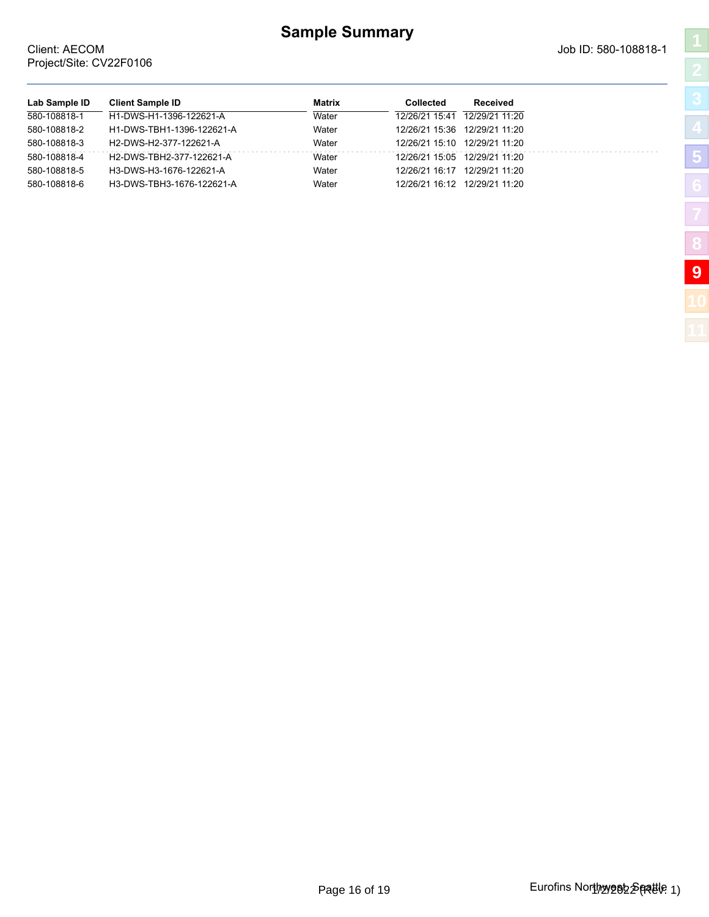#### **Sample Summary**

**Lab Sample ID Client Sample ID Matrix Collected Received** 580-108818-1 H1-DWS-H1-1396-122621-A Water 12/26/21 15:41 12/29/21 11:20 580-108818-2 H1-DWS-TBH1-1396-122621-A Water 12/26/21 15:36 12/29/21 11:20 580-108818-3 H2-DWS-H2-377-122621-A Water 12/26/21 15:10 12/29/21 11:20 580-108818-4 H2-DWS-TBH2-377-122621-A Water 12/26/21 15:05 12/29/21 11:20 580-108818-5 H3-DWS-H3-1676-122621-A Water 12/26/21 16:17 12/29/21 11:20 580-108818-6 H3-DWS-TBH3-1676-122621-A Water 12/26/21 16:12 12/29/21 11:20

#### <span id="page-15-1"></span><span id="page-15-0"></span>Client: AECOM Job ID: 580-108818-1 Project/Site: CV22F0106

| Ę |
|---|
| Z |
|   |
|   |
|   |
|   |
| Ć |
|   |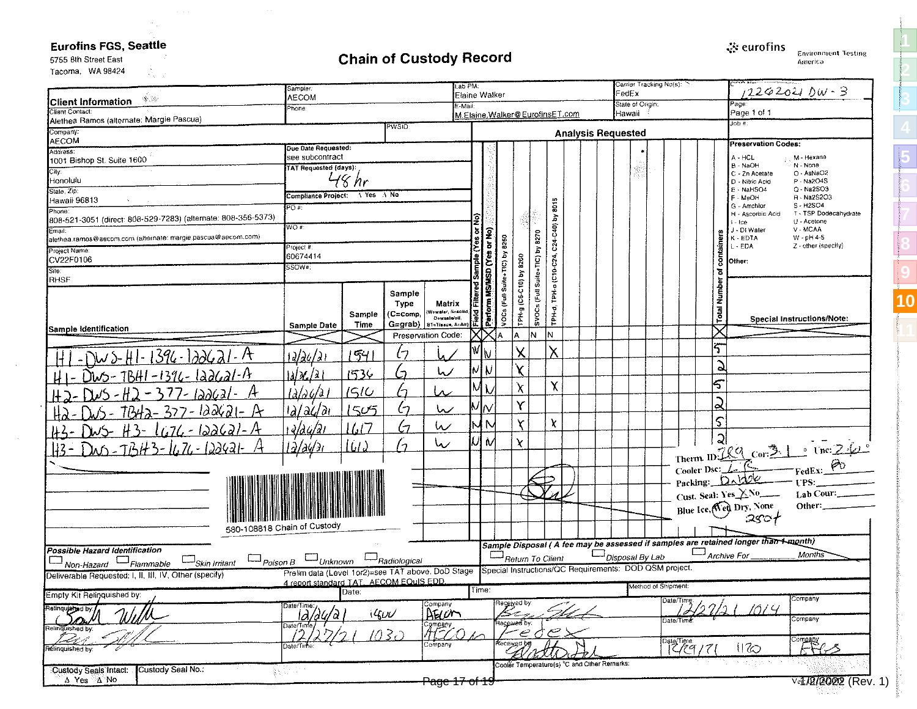#### <span id="page-16-1"></span>**Eurofins FGS, Seattle**

 $\sim$ 

## **Chain of Custody Record**

ूं: eurofins **Environment Testing** 

America

**[1](#page-0-1)**

**[2](#page-1-1)**

**[3](#page-2-1)**

**[5](#page-5-1)**

**[8](#page-14-1)**

**[9](#page-15-1)**

**[10](#page-16-1)**

**[11](#page-18-1)** 

5755 Bth Street East Tacoma, WA 98424

<span id="page-16-0"></span>

|                                                                        | Sampler.                                                                                  |            |                                              | .ab PM:                  |                    |                                  |                             |                          |                                                        | Carrier Tracking No(s):<br>FedEx |                                       |             |                                                                                     | $12262021$ DW-3                                                                                                 |
|------------------------------------------------------------------------|-------------------------------------------------------------------------------------------|------------|----------------------------------------------|--------------------------|--------------------|----------------------------------|-----------------------------|--------------------------|--------------------------------------------------------|----------------------------------|---------------------------------------|-------------|-------------------------------------------------------------------------------------|-----------------------------------------------------------------------------------------------------------------|
| W. R<br><b>Client Information</b>                                      | AECOM<br>Phone:                                                                           |            |                                              | Elaine Walker<br>E-Mail: |                    |                                  |                             |                          | State of Origin:                                       |                                  |                                       | Расе        |                                                                                     |                                                                                                                 |
| Client Contact:<br>Alethea Ramos (alternate: Margie Pascua)            |                                                                                           |            |                                              |                          |                    | M.Elaine.Walker@EurofinsET.com   |                             |                          |                                                        | Hawaii                           |                                       |             | Page 1 of 1<br>∄ dol                                                                |                                                                                                                 |
| Company:                                                               |                                                                                           |            | PWSID:                                       |                          |                    |                                  |                             |                          | <b>Analysis Requested</b>                              |                                  |                                       |             |                                                                                     |                                                                                                                 |
| <b>AECOM</b>                                                           | Due Date Requested:                                                                       |            |                                              |                          |                    |                                  |                             |                          |                                                        |                                  |                                       |             | <b>Preservation Codes:</b>                                                          |                                                                                                                 |
| Address:<br>1001 Bishop St. Suite 1600                                 | see subcontract                                                                           |            |                                              |                          |                    |                                  |                             |                          |                                                        |                                  |                                       |             | A - HCL                                                                             | M - Hexane                                                                                                      |
| City:                                                                  | <b>TAT Requested (days):</b>                                                              |            |                                              |                          |                    |                                  |                             |                          |                                                        | ge<br>S                          |                                       |             | B - NaOH<br>C - 2n Acetate                                                          | N - None<br>O - AsNaO2                                                                                          |
| Honolulu                                                               |                                                                                           | hr         |                                              |                          |                    |                                  |                             |                          |                                                        |                                  |                                       |             | D - Nitric Acid                                                                     | P - Na2O4S                                                                                                      |
| State Zip:<br>Hawaii 96813                                             | Compliance Project:                                                                       | A Yes A No |                                              |                          |                    |                                  |                             |                          |                                                        |                                  |                                       |             | E - NaHSO4<br>F - MeOH                                                              | Q - Na2SO3<br>R - Na2S2O3                                                                                       |
| Phone:                                                                 | POF                                                                                       |            |                                              |                          |                    |                                  |                             | <b>SO15</b>              |                                                        |                                  |                                       |             | G - Amchlor<br>H - Ascorbic Acid                                                    | S-H2SO4<br>T - TSP Dodecahydrate                                                                                |
| 808-521-3051 (direct: 808-529-7283) (alternate: 808-356-5373)          | WÒ#:                                                                                      |            |                                              |                          |                    |                                  |                             | $\overline{\omega}$      |                                                        |                                  |                                       |             | - Ice                                                                               | U - Acetone                                                                                                     |
| Email.<br>alethea.ramos@aecom.com (alternate: margie.pascua@aecom.com) |                                                                                           |            |                                              |                          | or No)             |                                  | 8270                        | C24-C40)                 |                                                        |                                  |                                       |             | J - DI Water<br>K - EDTA                                                            | V - MCAA<br>$W - pH 4-5$                                                                                        |
| Project Name:                                                          | Project #:                                                                                |            |                                              |                          |                    |                                  |                             |                          |                                                        |                                  |                                       | taine:      | L - EDA                                                                             | Z - other (specify)                                                                                             |
| CV22F0106                                                              | 60674414<br>SSOW#:                                                                        |            |                                              |                          |                    |                                  | 8260                        |                          |                                                        |                                  |                                       |             | Other:                                                                              |                                                                                                                 |
| Site:<br><b>RHSF</b>                                                   |                                                                                           |            |                                              |                          |                    |                                  | Suite+TIC) by<br>2          |                          |                                                        |                                  |                                       | т           |                                                                                     |                                                                                                                 |
|                                                                        |                                                                                           |            | Sample                                       |                          | <b>MS/MSD</b> (Yes |                                  |                             | TPH-0 (C10-C24,          |                                                        |                                  |                                       |             |                                                                                     |                                                                                                                 |
|                                                                        |                                                                                           |            | Type                                         | Matrix                   |                    |                                  | TPH-9 (C6-C1<br>SVOCs (Full |                          |                                                        |                                  |                                       | <b>Numb</b> |                                                                                     |                                                                                                                 |
|                                                                        |                                                                                           | Sample     | (Wewater, Sesolid<br>(C≕comp,<br>Ocwastolol, |                          | Partorm<br>Field   | VOCs                             |                             | TPH d                    |                                                        |                                  |                                       | Total       |                                                                                     | Special Instructions/Note:                                                                                      |
| Sample identification                                                  | Sample Date                                                                               | Time       | G=grab)   BT=Tissue, A=Air}                  |                          |                    |                                  |                             |                          |                                                        |                                  |                                       |             |                                                                                     |                                                                                                                 |
|                                                                        |                                                                                           |            | Preservation Code:                           |                          |                    | Α                                | lN.                         | IN.                      |                                                        |                                  |                                       |             |                                                                                     |                                                                                                                 |
| $-$ DWS-HI-1396-122621-A                                               | 1 <i>2/24/21</i>                                                                          | 54         | l7                                           |                          | W ∖                |                                  | χ                           | χ                        |                                                        |                                  |                                       | ς           |                                                                                     |                                                                                                                 |
|                                                                        |                                                                                           |            | رما<br>L)                                    |                          | MW                 |                                  | X.                          |                          |                                                        |                                  |                                       | G           |                                                                                     |                                                                                                                 |
| <u> DWS-TBHI-1396-122621-A</u>                                         | 1 <i>al X./2</i> 1                                                                        | 1536       |                                              |                          |                    |                                  |                             | χ                        |                                                        |                                  |                                       | 5           |                                                                                     |                                                                                                                 |
| $-H2-377-100621-4$                                                     | $\int d\omega \, d\omega$                                                                 | 1510       | ىد<br>/ ۱                                    |                          |                    |                                  | χ                           |                          |                                                        |                                  |                                       |             |                                                                                     |                                                                                                                 |
| $7B42 - 327 - 122621 - 12$                                             | $\frac{d}{d}$                                                                             | 1505       | $\zeta$<br>رما                               |                          | $M_N$              |                                  | Υ                           |                          |                                                        |                                  |                                       | షె          |                                                                                     |                                                                                                                 |
|                                                                        |                                                                                           |            | W<br>67                                      |                          | IM N               |                                  | $\overline{\mathsf{r}}$     | χ                        |                                                        |                                  |                                       | $\varsigma$ |                                                                                     |                                                                                                                 |
| <u> H3-1676-122621-A</u>                                               | $\frac{1}{2}$ a                                                                           | 16/7       |                                              |                          |                    |                                  |                             |                          |                                                        |                                  |                                       | ్ష          |                                                                                     |                                                                                                                 |
| <u> 113 - Dus - 7BH 3 - 1676 - 122421 - A</u>                          | <u>  Ələylər</u>                                                                          | lud        | رما<br>۰,                                    |                          | 'N                 |                                  | X.                          |                          |                                                        |                                  |                                       |             |                                                                                     |                                                                                                                 |
|                                                                        |                                                                                           |            |                                              |                          |                    |                                  |                             |                          |                                                        |                                  |                                       |             |                                                                                     |                                                                                                                 |
|                                                                        |                                                                                           |            |                                              |                          |                    |                                  |                             |                          |                                                        |                                  |                                       |             |                                                                                     | Therm. ID: $RC = \frac{3 \times 1}{100} \times 100$<br>Cooler Dsc: $1 \times 100$<br>Packing: Dabbe redEx: $80$ |
|                                                                        |                                                                                           |            |                                              |                          |                    |                                  |                             |                          |                                                        |                                  |                                       |             |                                                                                     | Lab Cour:                                                                                                       |
|                                                                        |                                                                                           |            |                                              |                          |                    |                                  |                             |                          |                                                        |                                  |                                       |             | Cust. Seal: Yes XNo                                                                 | Other:                                                                                                          |
|                                                                        |                                                                                           |            |                                              |                          |                    |                                  |                             |                          |                                                        |                                  |                                       |             | Blue Ice, Ned Dry, None                                                             |                                                                                                                 |
|                                                                        | 580-108818 Chain of Custody                                                               |            |                                              |                          |                    |                                  |                             |                          |                                                        |                                  |                                       |             |                                                                                     |                                                                                                                 |
|                                                                        |                                                                                           |            |                                              |                          |                    |                                  |                             |                          |                                                        |                                  |                                       |             | Sample Disposal (A fee may be assessed if samples are retained longer than 4-month) |                                                                                                                 |
| Possible Hazard Identification                                         | $\square_{\textit{Poisson B}} \square_{\textit{Unknown}} \square_{\textit{Radiological}}$ |            |                                              |                          |                    | $\Box_{\text{Return To Client}}$ |                             |                          |                                                        | $\square$ Disposal By Lab        |                                       |             | $\Box$ Archive For                                                                  | <b>Months</b>                                                                                                   |
| Skin Irritant<br>Non-Hazard <sup>LJ</sup> Flammable                    | Prelim data (Level 1or2)=see TAT above. DoD Stage                                         |            |                                              |                          |                    |                                  |                             |                          | Special Instructions/QC Requirements: DOD QSM project. |                                  |                                       |             |                                                                                     |                                                                                                                 |
| Deliverable Requested: I, II, III, IV, Other (specify)                 | 4 report standard TAT. AECOM EQuIS EDD.                                                   |            |                                              |                          |                    |                                  |                             |                          |                                                        |                                  |                                       |             |                                                                                     |                                                                                                                 |
| Empty Kit Relinquished by:                                             |                                                                                           | Date:      |                                              |                          | Time:              |                                  |                             |                          |                                                        |                                  | Method of Shipment:                   |             |                                                                                     | Company                                                                                                         |
| Relinquished by:                                                       | Date/Time:                                                                                |            | Company                                      |                          |                    | Received by:                     |                             |                          |                                                        |                                  | Date/Time:                            |             | 1014                                                                                |                                                                                                                 |
| í De                                                                   | <u>12/24/2</u><br>Date/Time                                                               |            | AELON<br>4600                                |                          |                    | Hecewed by:                      |                             |                          |                                                        |                                  | Öate/Time                             |             |                                                                                     | Company                                                                                                         |
| Relinquished by:                                                       |                                                                                           |            | Company<br>All Company<br><u>  1030</u>      |                          |                    |                                  | ام ص                        | $\overline{\mathcal{C}}$ |                                                        |                                  |                                       |             |                                                                                     |                                                                                                                 |
| Relinquished by:                                                       | Date/Time:                                                                                |            |                                              |                          |                    | Received by                      |                             |                          |                                                        |                                  | $\frac{\text{DateTime}}{\text{2977}}$ |             | 1120                                                                                | $F^{1/2}$                                                                                                       |
|                                                                        |                                                                                           |            |                                              |                          |                    |                                  |                             |                          | Cooler Temperature(s) "C and Other Remarks:            |                                  |                                       |             |                                                                                     |                                                                                                                 |
| Custody Seal No.:<br>Custody Seals Intact:                             | 数字机                                                                                       |            |                                              |                          |                    |                                  |                             |                          |                                                        |                                  |                                       |             |                                                                                     |                                                                                                                 |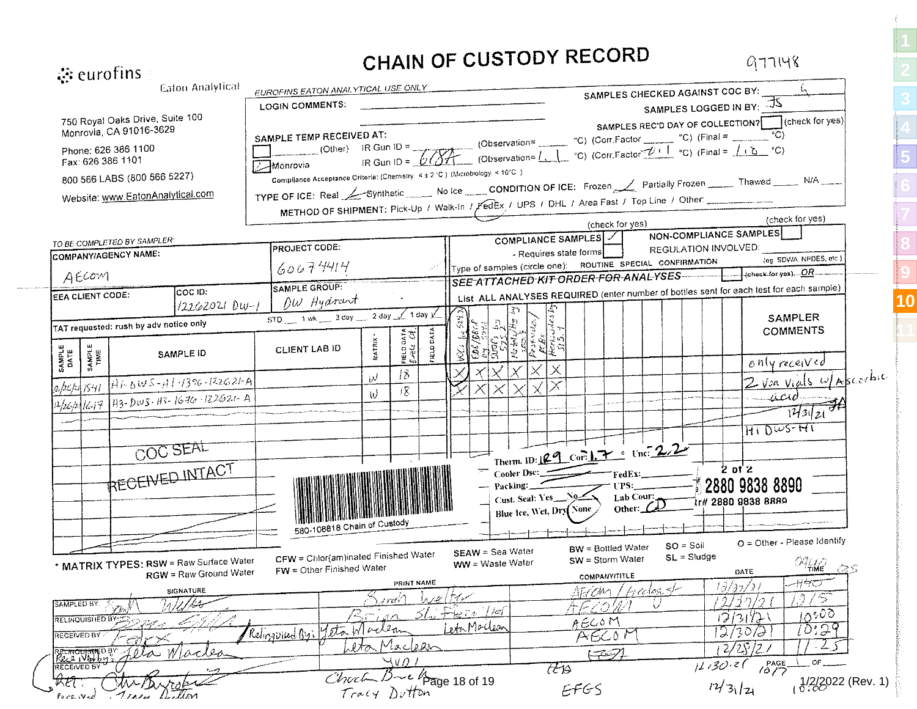| $\ddot{\mathbf{c}}$ eurofins             |                                                            |                                                                   |                                                                                |                                                  | CHAIN OF CUSTODY RECORD                                                                                                                                                                                                                                                             |                                                |                                                            | 977148                                                                                      |
|------------------------------------------|------------------------------------------------------------|-------------------------------------------------------------------|--------------------------------------------------------------------------------|--------------------------------------------------|-------------------------------------------------------------------------------------------------------------------------------------------------------------------------------------------------------------------------------------------------------------------------------------|------------------------------------------------|------------------------------------------------------------|---------------------------------------------------------------------------------------------|
|                                          |                                                            | Eaton Analytical                                                  | <b>EUROFINS EATON ANALYTICAL USE ONLY:</b>                                     |                                                  |                                                                                                                                                                                                                                                                                     |                                                | SAMPLES CHECKED AGAINST COC BY:                            |                                                                                             |
|                                          |                                                            |                                                                   | LOGIN COMMENTS:                                                                |                                                  |                                                                                                                                                                                                                                                                                     |                                                | SAMPLES LOGGED IN BY: JS                                   |                                                                                             |
|                                          | 750 Royal Oaks Drive, Suite 100<br>Monrovia, CA 91016-3629 |                                                                   |                                                                                |                                                  |                                                                                                                                                                                                                                                                                     |                                                |                                                            | SAMPLES REC'D DAY OF COLLECTION? [14] (check for yes)                                       |
|                                          |                                                            |                                                                   | <b>SAMPLE TEMP RECEIVED AT:</b>                                                |                                                  |                                                                                                                                                                                                                                                                                     |                                                |                                                            |                                                                                             |
| Phone: 626 386 1100<br>Fax: 626 386 1101 |                                                            |                                                                   | <b>Monrovia</b>                                                                |                                                  | (Other) IR Gun ID = (Observation= (Observation= $^{\circ}C$ ) (Corr.Factor $^{\circ}C$ ) (Final = $^{\circ}C$ )<br>via IR Gun ID = $\sqrt{\sqrt{\frac{1}{2}T}}$ (Observation= $1, 1, 2, $ (Corr.Factor $\frac{1}{\sqrt{1-\frac{1}{2}}}$ $^{\circ}C$ ) (Final = $1, 2, $ $^{\circ}C$ |                                                |                                                            |                                                                                             |
|                                          | 800 566 LABS (800 566 5227)                                |                                                                   | Compliance Acceptance Critoria: (Chemistry: 4 ± 2 °C ) (Microbiology: < 10°C ) |                                                  |                                                                                                                                                                                                                                                                                     |                                                |                                                            |                                                                                             |
|                                          | Website: www.EatonAnalytical.com                           |                                                                   |                                                                                |                                                  |                                                                                                                                                                                                                                                                                     |                                                |                                                            | TYPE OF ICE: Real Synthetic No Ice CONDITION OF ICE: Frozen Canadially Frozen Thawed N/A __ |
|                                          |                                                            |                                                                   |                                                                                |                                                  | METHOD OF SHIPMENT: Pick-Up / Walk-In / FedEx / UPS / DHL / Area Fast / Top Line / Other:                                                                                                                                                                                           |                                                |                                                            | (check for yes)                                                                             |
|                                          |                                                            |                                                                   |                                                                                |                                                  |                                                                                                                                                                                                                                                                                     | (check for yes)                                |                                                            | NON-COMPLIANCE SAMPLES                                                                      |
|                                          | TO BE COMPLETED BY SAMPLER                                 |                                                                   | PROJECT CODE:                                                                  |                                                  |                                                                                                                                                                                                                                                                                     | COMPLIANCE SAMPLES  <br>- Requires state forms | REGULATION INVOLVED:                                       |                                                                                             |
| COMPANY/AGENCY NAME:                     |                                                            |                                                                   | 60674414                                                                       |                                                  |                                                                                                                                                                                                                                                                                     |                                                | Type of samples (circle one): ROUTINE SPECIAL CONFIRMATION | (eg_SDWA_NPDES, etc )                                                                       |
| AECOM                                    |                                                            |                                                                   |                                                                                |                                                  |                                                                                                                                                                                                                                                                                     |                                                |                                                            |                                                                                             |
| EEA CLIENT CODE:                         |                                                            | COC ID:                                                           | SAMPLE GROUP:                                                                  |                                                  |                                                                                                                                                                                                                                                                                     |                                                |                                                            | List ALL ANALYSES REQUIRED (enter number of bottles sent for each test for each sample)     |
|                                          |                                                            | $12262021$ Dw-1                                                   | DW Hydrant<br>$STD$ 1 wk 3 day 2 day 1 day V                                   |                                                  |                                                                                                                                                                                                                                                                                     |                                                |                                                            | <b>SAMPLER</b>                                                                              |
|                                          | TAT requested: rush by adv notice only                     |                                                                   |                                                                                |                                                  |                                                                                                                                                                                                                                                                                     |                                                |                                                            | <b>COMMENTS</b>                                                                             |
|                                          |                                                            |                                                                   | <b>CLIENT LAB ID</b>                                                           | IELD DATA<br>FIELD DATA<br>Suifle Col.<br>MATRIX |                                                                                                                                                                                                                                                                                     |                                                |                                                            |                                                                                             |
| SAMPLE<br>TIME<br>SAMPLE<br>DATE         |                                                            | SAMPLE ID                                                         |                                                                                |                                                  |                                                                                                                                                                                                                                                                                     |                                                |                                                            | only received                                                                               |
|                                          |                                                            | $abch _{S41} HhdW^{S-1}1 ^{1/396-122621-A}$                       |                                                                                | 18<br>W                                          |                                                                                                                                                                                                                                                                                     |                                                |                                                            | Z Voa vials w/Ascorbic                                                                      |
|                                          |                                                            | 12/26/21/617   143-DWS-A3-1676-122621-A                           |                                                                                | 18<br>W                                          |                                                                                                                                                                                                                                                                                     |                                                |                                                            | -acu                                                                                        |
|                                          |                                                            |                                                                   |                                                                                |                                                  |                                                                                                                                                                                                                                                                                     |                                                |                                                            | $\frac{1}{43121}$                                                                           |
|                                          |                                                            |                                                                   |                                                                                |                                                  |                                                                                                                                                                                                                                                                                     |                                                |                                                            | $\overline{H}$ i Dws-Hi                                                                     |
|                                          | COC SEAL                                                   |                                                                   |                                                                                |                                                  |                                                                                                                                                                                                                                                                                     | Therm. ID: <u>29</u> Cor. 17 c Unc. 22         |                                                            |                                                                                             |
|                                          |                                                            |                                                                   |                                                                                |                                                  | Cooler Dsc:                                                                                                                                                                                                                                                                         |                                                | FedEx:                                                     | $2$ of $2$                                                                                  |
|                                          | <b>RECEIVED INTACT</b>                                     |                                                                   |                                                                                |                                                  | Packing ___                                                                                                                                                                                                                                                                         |                                                |                                                            | 2880 9838 8890                                                                              |
|                                          |                                                            |                                                                   |                                                                                |                                                  | Cust. Seal: Yes_N9                                                                                                                                                                                                                                                                  |                                                | Lab Cour:<br>Other: $\mathcal{L}\mathcal{D}$               | tr# 2880 9838 8889                                                                          |
|                                          |                                                            |                                                                   |                                                                                |                                                  |                                                                                                                                                                                                                                                                                     | Blue Ice, Wet, Dry None                        |                                                            |                                                                                             |
|                                          |                                                            |                                                                   | 580-108818 Chain of Custody                                                    |                                                  |                                                                                                                                                                                                                                                                                     |                                                |                                                            |                                                                                             |
|                                          |                                                            |                                                                   | CFW = Chlor(am)inated Finished Water                                           |                                                  | SEAW = Sea Water                                                                                                                                                                                                                                                                    | <b>BW</b> = Bottled Water                      | $SO = Soli$                                                | O = Other - Please Identify                                                                 |
|                                          |                                                            | * MATRIX TYPES: RSW = Raw Surface Water<br>RGW = Raw Ground Water | FW = Other Finished Water                                                      |                                                  | <b>WW</b> = Waste Water                                                                                                                                                                                                                                                             | SW = Storm Water                               | $SL = Sludge$                                              | $O(\frac{1}{2} \sqrt{2})$<br>-785<br>DATE                                                   |
|                                          |                                                            |                                                                   |                                                                                | PRINT NAME                                       |                                                                                                                                                                                                                                                                                     | <b>COMPANY/TITLE</b>                           | <u>Igeologisk</u>                                          | -1140<br>13/37/3                                                                            |
| SAMPLED BY.                              |                                                            | SIGNATURE                                                         |                                                                                | أنهمين                                           | سمع م ا بهربرا                                                                                                                                                                                                                                                                      | AECM                                           | U                                                          | 13.<br>'5<br>/17/2                                                                          |
| <b>RELINQUISHED BY:</b>                  | $\mathcal{D}w^{\mu}$                                       |                                                                   |                                                                                | ぶれ                                               | 51. Fern 11er                                                                                                                                                                                                                                                                       | 10<br>AECOM                                    |                                                            | 10500<br>2/3172                                                                             |
| <b>RECEIVED BY</b>                       |                                                            |                                                                   | Relingvised By: 12th Maclean                                                   |                                                  | eta Maclean                                                                                                                                                                                                                                                                         | AEC0                                           |                                                            | 10:29<br>2/30,<br>ТЭ                                                                        |
|                                          |                                                            | acles                                                             |                                                                                | Maclean<br>タオひ                                   |                                                                                                                                                                                                                                                                                     | $(-257)$                                       |                                                            | 2/28/2                                                                                      |
| RELINOUSTIED BY<br>RECEIVED BY           |                                                            |                                                                   |                                                                                | $\forall$ uni                                    |                                                                                                                                                                                                                                                                                     | ttis                                           | 11130.21                                                   | O۴<br>$\sqrt{\frac{PAGE}{Q}}$                                                               |
| प्रास्                                   |                                                            |                                                                   | Chuc                                                                           |                                                  | Page 18 of 19                                                                                                                                                                                                                                                                       |                                                |                                                            | $1/2/2022$ (Rev. 1)                                                                         |
| Pore Wed                                 | Traces Anthon                                              |                                                                   |                                                                                | Tracy Dutton                                     |                                                                                                                                                                                                                                                                                     | EFGS                                           |                                                            | 12/3/21                                                                                     |

**[5](#page-5-1) [9](#page-15-1) [10](#page-16-1)**

**[11](#page-18-1)**